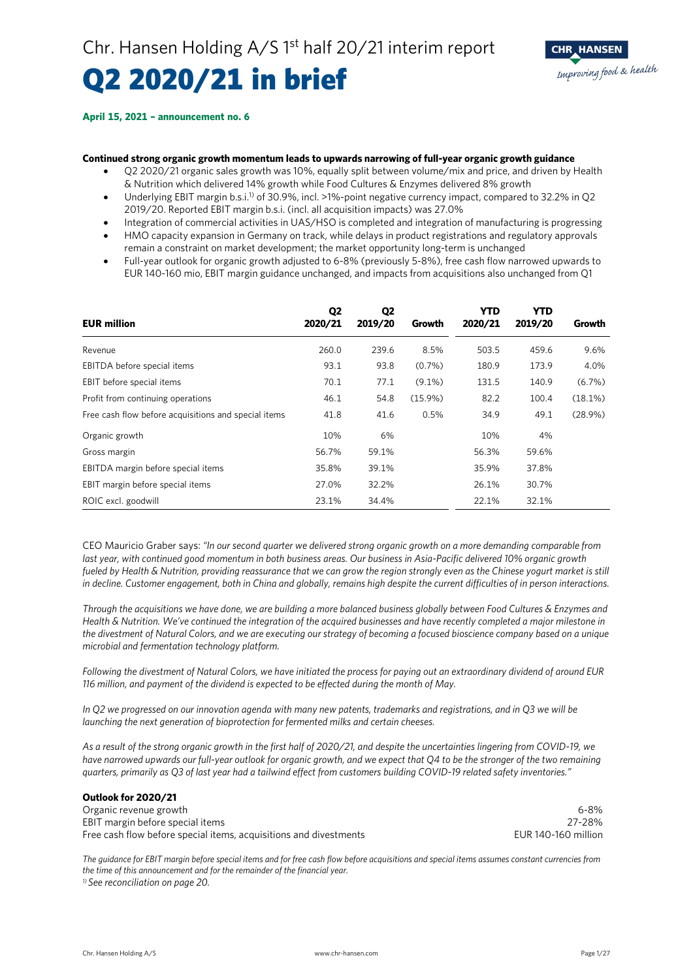# Q2 2020/21 in brief

#### **April 15, 2021 – announcement no. 6**

#### **Continued strong organic growth momentum leads to upwards narrowing of full-year organic growth guidance**

- Q2 2020/21 organic sales growth was 10%, equally split between volume/mix and price, and driven by Health & Nutrition which delivered 14% growth while Food Cultures & Enzymes delivered 8% growth
- Underlying EBIT margin b.s.i.<sup>1)</sup> of 30.9%, incl. >1%-point negative currency impact, compared to 32.2% in Q2 2019/20. Reported EBIT margin b.s.i. (incl. all acquisition impacts) was 27.0%
- Integration of commercial activities in UAS/HSO is completed and integration of manufacturing is progressing
- HMO capacity expansion in Germany on track, while delays in product registrations and regulatory approvals remain a constraint on market development; the market opportunity long-term is unchanged
- Full-year outlook for organic growth adjusted to 6-8% (previously 5-8%), free cash flow narrowed upwards to EUR 140-160 mio, EBIT margin guidance unchanged, and impacts from acquisitions also unchanged from Q1

| <b>EUR million</b>                                   | Q <sub>2</sub><br>2020/21 | Q2<br>2019/20 | Growth     | YTD<br>2020/21 | YTD.<br>2019/20 | Growth    |
|------------------------------------------------------|---------------------------|---------------|------------|----------------|-----------------|-----------|
| Revenue                                              | 260.0                     | 239.6         | 8.5%       | 503.5          | 459.6           | 9.6%      |
| EBITDA before special items                          | 93.1                      | 93.8          | $(0.7\%)$  | 180.9          | 173.9           | 4.0%      |
| EBIT before special items                            | 70.1                      | 77.1          | $(9.1\%)$  | 131.5          | 140.9           | $(6.7\%)$ |
| Profit from continuing operations                    | 46.1                      | 54.8          | $(15.9\%)$ | 82.2           | 100.4           | (18.1%)   |
| Free cash flow before acquisitions and special items | 41.8                      | 41.6          | 0.5%       | 34.9           | 49.1            | (28.9%)   |
| Organic growth                                       | 10%                       | 6%            |            | 10%            | 4%              |           |
| Gross margin                                         | 56.7%                     | 59.1%         |            | 56.3%          | 59.6%           |           |
| EBITDA margin before special items                   | 35.8%                     | 39.1%         |            | 35.9%          | 37.8%           |           |
| EBIT margin before special items                     | 27.0%                     | 32.2%         |            | 26.1%          | 30.7%           |           |
| ROIC excl. goodwill                                  | 23.1%                     | 34.4%         |            | 22.1%          | 32.1%           |           |

CEO Mauricio Graber says: *"In our second quarter we delivered strong organic growth on a more demanding comparable from last year, with continued good momentum in both business areas. Our business in Asia-Pacific delivered 10% organic growth fueled by Health & Nutrition, providing reassurance that we can grow the region strongly even as the Chinese yogurt market is still in decline. Customer engagement, both in China and globally, remains high despite the current difficulties of in person interactions.*

*Through the acquisitions we have done, we are building a more balanced business globally between Food Cultures & Enzymes and Health & Nutrition. We've continued the integration of the acquired businesses and have recently completed a major milestone in the divestment of Natural Colors, and we are executing our strategy of becoming a focused bioscience company based on a unique microbial and fermentation technology platform.*

*Following the divestment of Natural Colors, we have initiated the process for paying out an extraordinary dividend of around EUR 116 million, and payment of the dividend is expected to be effected during the month of May.*

*In Q2 we progressed on our innovation agenda with many new patents, trademarks and registrations, and in Q3 we will be launching the next generation of bioprotection for fermented milks and certain cheeses.*

*As a result of the strong organic growth in the first half of 2020/21, and despite the uncertainties lingering from COVID-19, we have narrowed upwards our full-year outlook for organic growth, and we expect that Q4 to be the stronger of the two remaining quarters, primarily as Q3 of last year had a tailwind effect from customers building COVID-19 related safety inventories."*

| Outlook for 2020/21                                               |                     |
|-------------------------------------------------------------------|---------------------|
| Organic revenue growth                                            | 6-8%                |
| EBIT margin before special items                                  | 27-28%              |
| Free cash flow before special items, acquisitions and divestments | EUR 140-160 million |

*The guidance for EBIT margin before special items and for free cash flow before acquisitions and special items assumes constant currencies from the time of this announcement and for the remainder of the financial year. 1) See reconciliation on page 20.*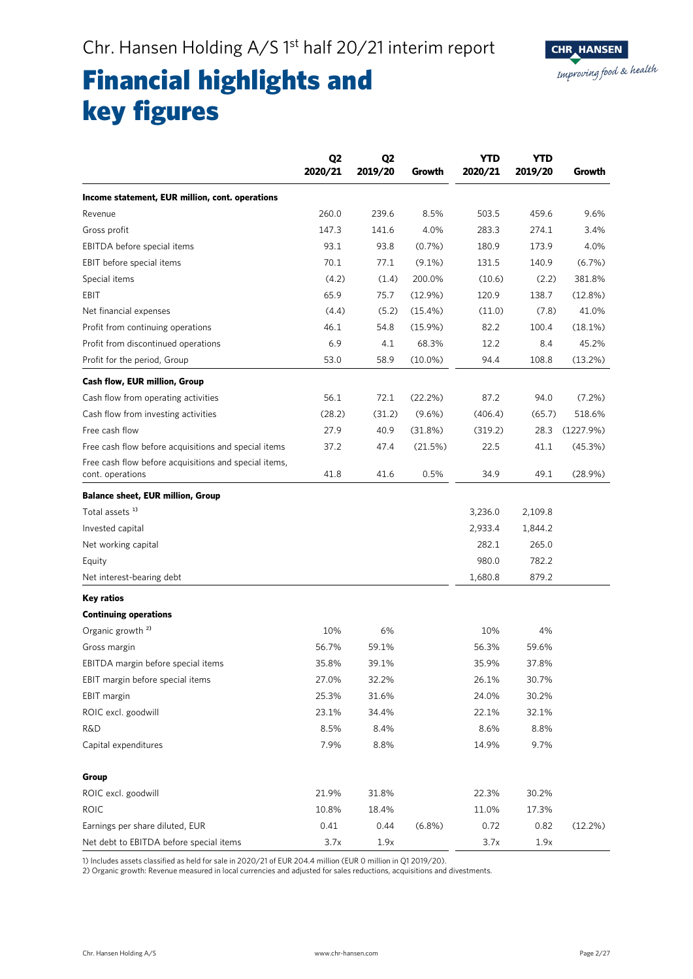

## Financial highlights and key figures

| Income statement, EUR million, cont. operations<br>260.0<br>239.6<br>8.5%<br>503.5<br>459.6<br>Revenue<br>147.3<br>141.6<br>4.0%<br>283.3<br>274.1<br>Gross profit<br>93.1<br>93.8<br>$(0.7\%)$<br>180.9<br>173.9<br>EBITDA before special items<br>70.1<br>EBIT before special items<br>77.1<br>$(9.1\%)$<br>131.5<br>140.9<br>(4.2)<br>Special items<br>(1.4)<br>200.0%<br>(10.6)<br>(2.2)<br>65.9<br>EBIT<br>75.7<br>(12.9%)<br>120.9<br>138.7<br>Net financial expenses<br>(4.4)<br>(5.2)<br>(15.4%)<br>(11.0)<br>(7.8)<br>46.1<br>82.2<br>Profit from continuing operations<br>54.8<br>$(15.9\%)$<br>100.4<br>Profit from discontinued operations<br>6.9<br>68.3%<br>12.2<br>4.1<br>8.4<br>53.0<br>58.9<br>Profit for the period, Group<br>$(10.0\%)$<br>94.4<br>108.8<br><b>Cash flow, EUR million, Group</b> | Q <sub>2</sub><br>2020/21 | Q <sub>2</sub><br>2019/20 | Growth | <b>YTD</b><br>2020/21 | <b>YTD</b><br>2019/20 | Growth    |
|---------------------------------------------------------------------------------------------------------------------------------------------------------------------------------------------------------------------------------------------------------------------------------------------------------------------------------------------------------------------------------------------------------------------------------------------------------------------------------------------------------------------------------------------------------------------------------------------------------------------------------------------------------------------------------------------------------------------------------------------------------------------------------------------------------------------|---------------------------|---------------------------|--------|-----------------------|-----------------------|-----------|
|                                                                                                                                                                                                                                                                                                                                                                                                                                                                                                                                                                                                                                                                                                                                                                                                                     |                           |                           |        |                       |                       |           |
|                                                                                                                                                                                                                                                                                                                                                                                                                                                                                                                                                                                                                                                                                                                                                                                                                     |                           |                           |        |                       |                       | 9.6%      |
|                                                                                                                                                                                                                                                                                                                                                                                                                                                                                                                                                                                                                                                                                                                                                                                                                     |                           |                           |        |                       |                       | 3.4%      |
|                                                                                                                                                                                                                                                                                                                                                                                                                                                                                                                                                                                                                                                                                                                                                                                                                     |                           |                           |        |                       |                       | 4.0%      |
|                                                                                                                                                                                                                                                                                                                                                                                                                                                                                                                                                                                                                                                                                                                                                                                                                     |                           |                           |        |                       |                       | (6.7%)    |
|                                                                                                                                                                                                                                                                                                                                                                                                                                                                                                                                                                                                                                                                                                                                                                                                                     |                           |                           |        |                       |                       | 381.8%    |
|                                                                                                                                                                                                                                                                                                                                                                                                                                                                                                                                                                                                                                                                                                                                                                                                                     |                           |                           |        |                       |                       | (12.8%)   |
|                                                                                                                                                                                                                                                                                                                                                                                                                                                                                                                                                                                                                                                                                                                                                                                                                     |                           |                           |        |                       |                       | 41.0%     |
|                                                                                                                                                                                                                                                                                                                                                                                                                                                                                                                                                                                                                                                                                                                                                                                                                     |                           |                           |        |                       |                       | (18.1%)   |
|                                                                                                                                                                                                                                                                                                                                                                                                                                                                                                                                                                                                                                                                                                                                                                                                                     |                           |                           |        |                       |                       | 45.2%     |
|                                                                                                                                                                                                                                                                                                                                                                                                                                                                                                                                                                                                                                                                                                                                                                                                                     |                           |                           |        |                       |                       | (13.2%)   |
|                                                                                                                                                                                                                                                                                                                                                                                                                                                                                                                                                                                                                                                                                                                                                                                                                     |                           |                           |        |                       |                       |           |
| 56.1<br>72.1<br>(22.2%)<br>87.2<br>Cash flow from operating activities<br>94.0                                                                                                                                                                                                                                                                                                                                                                                                                                                                                                                                                                                                                                                                                                                                      |                           |                           |        |                       |                       | $(7.2\%)$ |
| (28.2)<br>(31.2)<br>(406.4)<br>Cash flow from investing activities<br>$(9.6\%)$<br>(65.7)                                                                                                                                                                                                                                                                                                                                                                                                                                                                                                                                                                                                                                                                                                                           |                           |                           |        |                       |                       | 518.6%    |
| 27.9<br>Free cash flow<br>40.9<br>(31.8%)<br>(319.2)<br>28.3                                                                                                                                                                                                                                                                                                                                                                                                                                                                                                                                                                                                                                                                                                                                                        |                           |                           |        |                       |                       | (1227.9%) |
| Free cash flow before acquisitions and special items<br>37.2<br>47.4<br>22.5<br>(21.5%)<br>41.1                                                                                                                                                                                                                                                                                                                                                                                                                                                                                                                                                                                                                                                                                                                     |                           |                           |        |                       |                       | (45.3%)   |
| Free cash flow before acquisitions and special items,                                                                                                                                                                                                                                                                                                                                                                                                                                                                                                                                                                                                                                                                                                                                                               |                           |                           |        |                       |                       |           |
| 41.8<br>41.6<br>0.5%<br>34.9<br>49.1<br>cont. operations                                                                                                                                                                                                                                                                                                                                                                                                                                                                                                                                                                                                                                                                                                                                                            |                           |                           |        |                       |                       | (28.9%)   |
| <b>Balance sheet, EUR million, Group</b>                                                                                                                                                                                                                                                                                                                                                                                                                                                                                                                                                                                                                                                                                                                                                                            |                           |                           |        |                       |                       |           |
| Total assets <sup>1)</sup><br>3,236.0<br>2,109.8                                                                                                                                                                                                                                                                                                                                                                                                                                                                                                                                                                                                                                                                                                                                                                    |                           |                           |        |                       |                       |           |
| Invested capital<br>2,933.4<br>1,844.2                                                                                                                                                                                                                                                                                                                                                                                                                                                                                                                                                                                                                                                                                                                                                                              |                           |                           |        |                       |                       |           |
| 282.1<br>265.0<br>Net working capital                                                                                                                                                                                                                                                                                                                                                                                                                                                                                                                                                                                                                                                                                                                                                                               |                           |                           |        |                       |                       |           |
| 980.0<br>782.2<br>Equity                                                                                                                                                                                                                                                                                                                                                                                                                                                                                                                                                                                                                                                                                                                                                                                            |                           |                           |        |                       |                       |           |
| Net interest-bearing debt<br>1,680.8<br>879.2                                                                                                                                                                                                                                                                                                                                                                                                                                                                                                                                                                                                                                                                                                                                                                       |                           |                           |        |                       |                       |           |
| Key ratios                                                                                                                                                                                                                                                                                                                                                                                                                                                                                                                                                                                                                                                                                                                                                                                                          |                           |                           |        |                       |                       |           |
| <b>Continuing operations</b>                                                                                                                                                                                                                                                                                                                                                                                                                                                                                                                                                                                                                                                                                                                                                                                        |                           |                           |        |                       |                       |           |
| Organic growth <sup>2)</sup><br>10%<br>6%<br>10%<br>4%                                                                                                                                                                                                                                                                                                                                                                                                                                                                                                                                                                                                                                                                                                                                                              |                           |                           |        |                       |                       |           |
| 56.7%<br>59.1%<br>59.6%<br>Gross margin<br>56.3%                                                                                                                                                                                                                                                                                                                                                                                                                                                                                                                                                                                                                                                                                                                                                                    |                           |                           |        |                       |                       |           |
| 39.1%<br>37.8%<br>EBITDA margin before special items<br>35.8%<br>35.9%                                                                                                                                                                                                                                                                                                                                                                                                                                                                                                                                                                                                                                                                                                                                              |                           |                           |        |                       |                       |           |
| EBIT margin before special items<br>27.0%<br>32.2%<br>26.1%<br>30.7%                                                                                                                                                                                                                                                                                                                                                                                                                                                                                                                                                                                                                                                                                                                                                |                           |                           |        |                       |                       |           |
| 25.3%<br>31.6%<br>24.0%<br>30.2%<br>EBIT margin                                                                                                                                                                                                                                                                                                                                                                                                                                                                                                                                                                                                                                                                                                                                                                     |                           |                           |        |                       |                       |           |
| ROIC excl. goodwill<br>23.1%<br>34.4%<br>22.1%<br>32.1%                                                                                                                                                                                                                                                                                                                                                                                                                                                                                                                                                                                                                                                                                                                                                             |                           |                           |        |                       |                       |           |
| <b>R&amp;D</b><br>8.5%<br>8.4%<br>8.6%<br>8.8%                                                                                                                                                                                                                                                                                                                                                                                                                                                                                                                                                                                                                                                                                                                                                                      |                           |                           |        |                       |                       |           |
| 7.9%<br>8.8%<br>14.9%<br>9.7%<br>Capital expenditures                                                                                                                                                                                                                                                                                                                                                                                                                                                                                                                                                                                                                                                                                                                                                               |                           |                           |        |                       |                       |           |
|                                                                                                                                                                                                                                                                                                                                                                                                                                                                                                                                                                                                                                                                                                                                                                                                                     |                           |                           |        |                       |                       |           |
| Group<br>ROIC excl. goodwill<br>21.9%<br>31.8%<br>30.2%<br>22.3%                                                                                                                                                                                                                                                                                                                                                                                                                                                                                                                                                                                                                                                                                                                                                    |                           |                           |        |                       |                       |           |
| <b>ROIC</b><br>10.8%<br>18.4%<br>11.0%<br>17.3%                                                                                                                                                                                                                                                                                                                                                                                                                                                                                                                                                                                                                                                                                                                                                                     |                           |                           |        |                       |                       |           |
| Earnings per share diluted, EUR<br>0.41<br>0.44<br>$(6.8\%)$<br>0.72<br>0.82                                                                                                                                                                                                                                                                                                                                                                                                                                                                                                                                                                                                                                                                                                                                        |                           |                           |        |                       |                       | (12.2%)   |
| Net debt to EBITDA before special items<br>3.7x<br>1.9x<br>3.7x<br>1.9x                                                                                                                                                                                                                                                                                                                                                                                                                                                                                                                                                                                                                                                                                                                                             |                           |                           |        |                       |                       |           |

1) Includes assets classified as held for sale in 2020/21 of EUR 204.4 million (EUR 0 million in Q1 2019/20).

2) Organic growth: Revenue measured in local currencies and adjusted for sales reductions, acquisitions and divestments.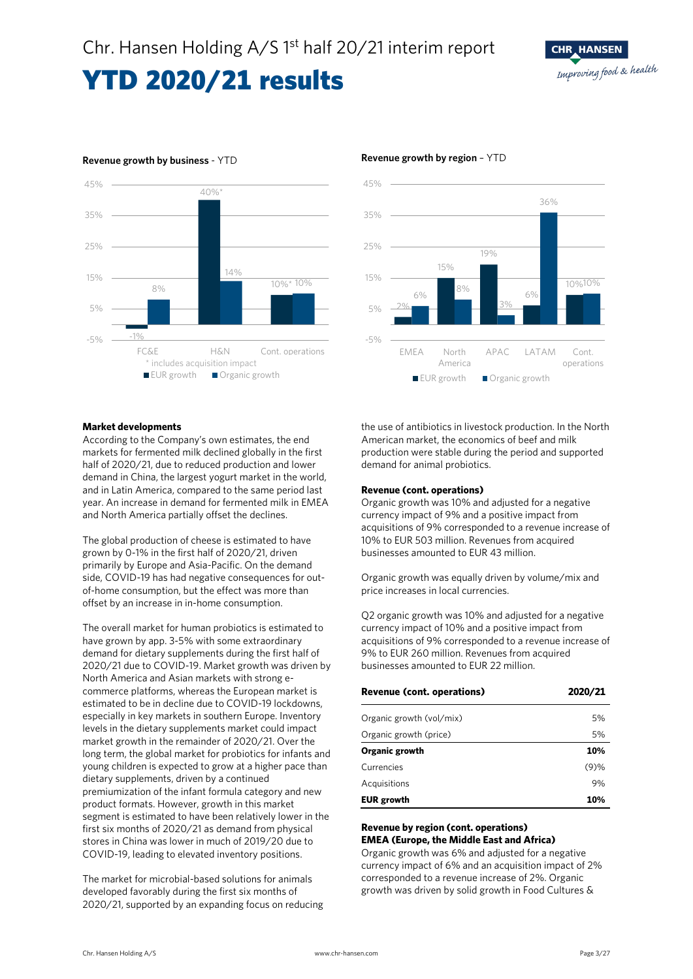

### **Revenue growth by business** - YTD **Revenue growth by region** – YTD





#### **Market developments**

According to the Company's own estimates, the end markets for fermented milk declined globally in the first half of 2020/21, due to reduced production and lower demand in China, the largest yogurt market in the world, and in Latin America, compared to the same period last year. An increase in demand for fermented milk in EMEA and North America partially offset the declines.

The global production of cheese is estimated to have grown by 0-1% in the first half of 2020/21, driven primarily by Europe and Asia-Pacific. On the demand side, COVID-19 has had negative consequences for outof-home consumption, but the effect was more than offset by an increase in in-home consumption.

The overall market for human probiotics is estimated to have grown by app. 3-5% with some extraordinary demand for dietary supplements during the first half of 2020/21 due to COVID-19. Market growth was driven by North America and Asian markets with strong ecommerce platforms, whereas the European market is estimated to be in decline due to COVID-19 lockdowns, especially in key markets in southern Europe. Inventory levels in the dietary supplements market could impact market growth in the remainder of 2020/21. Over the long term, the global market for probiotics for infants and young children is expected to grow at a higher pace than dietary supplements, driven by a continued premiumization of the infant formula category and new product formats. However, growth in this market segment is estimated to have been relatively lower in the first six months of 2020/21 as demand from physical stores in China was lower in much of 2019/20 due to COVID-19, leading to elevated inventory positions.

The market for microbial-based solutions for animals developed favorably during the first six months of 2020/21, supported by an expanding focus on reducing the use of antibiotics in livestock production. In the North American market, the economics of beef and milk production were stable during the period and supported demand for animal probiotics.

#### **Revenue (cont. operations)**

Organic growth was 10% and adjusted for a negative currency impact of 9% and a positive impact from acquisitions of 9% corresponded to a revenue increase of 10% to EUR 503 million. Revenues from acquired businesses amounted to EUR 43 million.

Organic growth was equally driven by volume/mix and price increases in local currencies.

Q2 organic growth was 10% and adjusted for a negative currency impact of 10% and a positive impact from acquisitions of 9% corresponded to a revenue increase of 9% to EUR 260 million. Revenues from acquired businesses amounted to EUR 22 million.

| <b>Revenue (cont. operations)</b> | 2020/21 |
|-----------------------------------|---------|
| Organic growth (vol/mix)          | 5%      |
| Organic growth (price)            | 5%      |
| Organic growth                    | 10%     |
| Currencies                        | (9)%    |
| Acquisitions                      | 9%      |
| <b>EUR</b> growth                 | 10%     |

### **Revenue by region (cont. operations) EMEA (Europe, the Middle East and Africa)**

Organic growth was 6% and adjusted for a negative currency impact of 6% and an acquisition impact of 2% corresponded to a revenue increase of 2%. Organic growth was driven by solid growth in Food Cultures &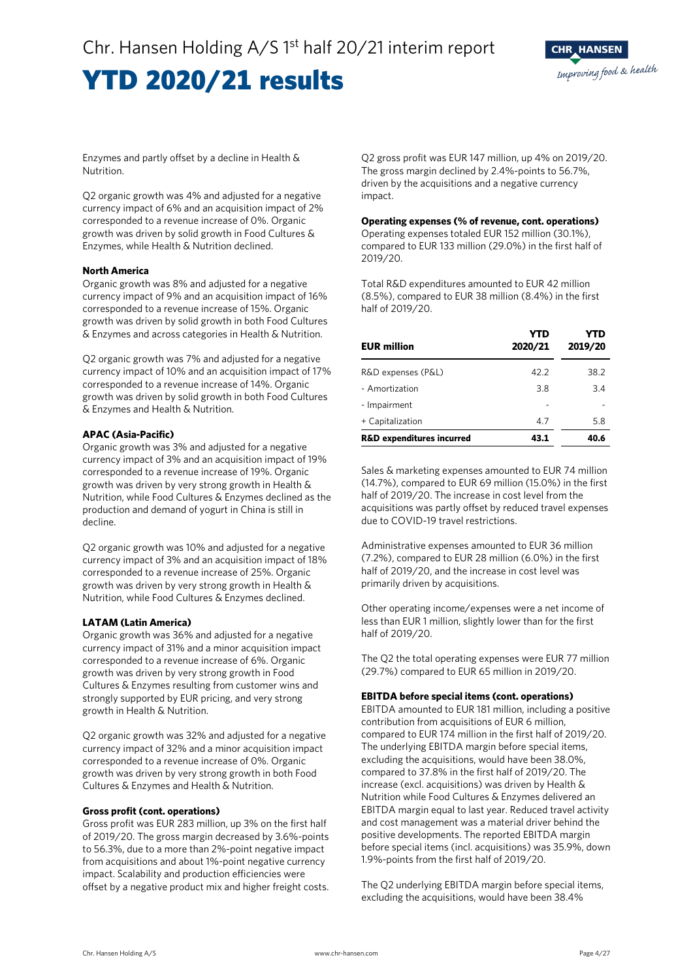

Enzymes and partly offset by a decline in Health & Nutrition.

Q2 organic growth was 4% and adjusted for a negative currency impact of 6% and an acquisition impact of 2% corresponded to a revenue increase of 0%. Organic growth was driven by solid growth in Food Cultures & Enzymes, while Health & Nutrition declined.

### **North America**

Organic growth was 8% and adjusted for a negative currency impact of 9% and an acquisition impact of 16% corresponded to a revenue increase of 15%. Organic growth was driven by solid growth in both Food Cultures & Enzymes and across categories in Health & Nutrition.

Q2 organic growth was 7% and adjusted for a negative currency impact of 10% and an acquisition impact of 17% corresponded to a revenue increase of 14%. Organic growth was driven by solid growth in both Food Cultures & Enzymes and Health & Nutrition.

### **APAC (Asia-Pacific)**

Organic growth was 3% and adjusted for a negative currency impact of 3% and an acquisition impact of 19% corresponded to a revenue increase of 19%. Organic growth was driven by very strong growth in Health & Nutrition, while Food Cultures & Enzymes declined as the production and demand of yogurt in China is still in decline.

Q2 organic growth was 10% and adjusted for a negative currency impact of 3% and an acquisition impact of 18% corresponded to a revenue increase of 25%. Organic growth was driven by very strong growth in Health & Nutrition, while Food Cultures & Enzymes declined.

### **LATAM (Latin America)**

Organic growth was 36% and adjusted for a negative currency impact of 31% and a minor acquisition impact corresponded to a revenue increase of 6%. Organic growth was driven by very strong growth in Food Cultures & Enzymes resulting from customer wins and strongly supported by EUR pricing, and very strong growth in Health & Nutrition.

Q2 organic growth was 32% and adjusted for a negative currency impact of 32% and a minor acquisition impact corresponded to a revenue increase of 0%. Organic growth was driven by very strong growth in both Food Cultures & Enzymes and Health & Nutrition.

### **Gross profit (cont. operations)**

Gross profit was EUR 283 million, up 3% on the first half of 2019/20. The gross margin decreased by 3.6%-points to 56.3%, due to a more than 2%-point negative impact from acquisitions and about 1%-point negative currency impact. Scalability and production efficiencies were offset by a negative product mix and higher freight costs. Q2 gross profit was EUR 147 million, up 4% on 2019/20. The gross margin declined by 2.4%-points to 56.7%, driven by the acquisitions and a negative currency impact.

#### **Operating expenses (% of revenue, cont. operations)**

Operating expenses totaled EUR 152 million (30.1%), compared to EUR 133 million (29.0%) in the first half of 2019/20.

Total R&D expenditures amounted to EUR 42 million (8.5%), compared to EUR 38 million (8.4%) in the first half of 2019/20.

| <b>EUR million</b>                   | YTD<br>2020/21 | YTD<br>2019/20 |
|--------------------------------------|----------------|----------------|
| R&D expenses (P&L)                   | 42.2           | 38.2           |
| - Amortization                       | 3.8            | 3.4            |
| - Impairment                         |                |                |
| + Capitalization                     | 4.7            | 5.8            |
| <b>R&amp;D expenditures incurred</b> | 43.1           | 40.6           |

Sales & marketing expenses amounted to EUR 74 million (14.7%), compared to EUR 69 million (15.0%) in the first half of 2019/20. The increase in cost level from the acquisitions was partly offset by reduced travel expenses due to COVID-19 travel restrictions.

Administrative expenses amounted to EUR 36 million (7.2%), compared to EUR 28 million (6.0%) in the first half of 2019/20, and the increase in cost level was primarily driven by acquisitions.

Other operating income/expenses were a net income of less than EUR 1 million, slightly lower than for the first half of 2019/20.

The Q2 the total operating expenses were EUR 77 million (29.7%) compared to EUR 65 million in 2019/20.

### **EBITDA before special items (cont. operations)**

EBITDA amounted to EUR 181 million, including a positive contribution from acquisitions of EUR 6 million, compared to EUR 174 million in the first half of 2019/20. The underlying EBITDA margin before special items, excluding the acquisitions, would have been 38.0%, compared to 37.8% in the first half of 2019/20. The increase (excl. acquisitions) was driven by Health & Nutrition while Food Cultures & Enzymes delivered an EBITDA margin equal to last year. Reduced travel activity and cost management was a material driver behind the positive developments. The reported EBITDA margin before special items (incl. acquisitions) was 35.9%, down 1.9%-points from the first half of 2019/20.

The Q2 underlying EBITDA margin before special items, excluding the acquisitions, would have been 38.4%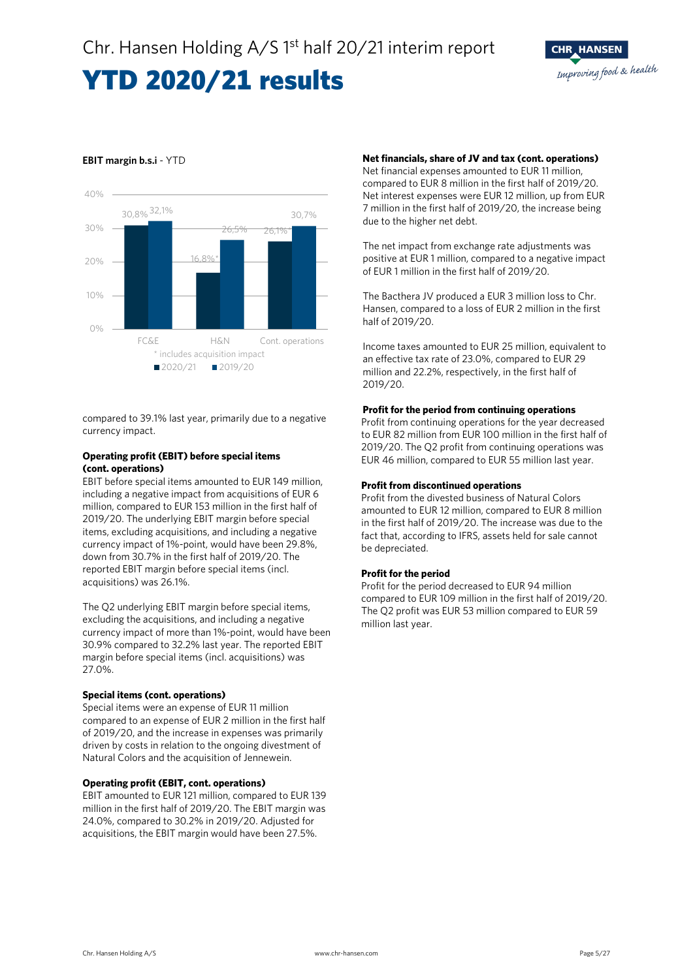### 30,8% 32,1% 16,8%\* 26,1%\* 26,5% 30,7%  $0%$ 10% 20% 30% 40% FC&E H&N Cont. operations ■2020/21 ■2019/20 \* includes acquisition impact

### **EBIT margin b.s.i** - YTD

compared to 39.1% last year, primarily due to a negative currency impact.

### **Operating profit (EBIT) before special items (cont. operations)**

EBIT before special items amounted to EUR 149 million, including a negative impact from acquisitions of EUR 6 million, compared to EUR 153 million in the first half of 2019/20. The underlying EBIT margin before special items, excluding acquisitions, and including a negative currency impact of 1%-point, would have been 29.8%, down from 30.7% in the first half of 2019/20. The reported EBIT margin before special items (incl. acquisitions) was 26.1%.

The Q2 underlying EBIT margin before special items, excluding the acquisitions, and including a negative currency impact of more than 1%-point, would have been 30.9% compared to 32.2% last year. The reported EBIT margin before special items (incl. acquisitions) was 27.0%.

### **Special items (cont. operations)**

Special items were an expense of EUR 11 million compared to an expense of EUR 2 million in the first half of 2019/20, and the increase in expenses was primarily driven by costs in relation to the ongoing divestment of Natural Colors and the acquisition of Jennewein.

### **Operating profit (EBIT, cont. operations)**

EBIT amounted to EUR 121 million, compared to EUR 139 million in the first half of 2019/20. The EBIT margin was 24.0%, compared to 30.2% in 2019/20. Adjusted for acquisitions, the EBIT margin would have been 27.5%.

### **Net financials, share of JV and tax (cont. operations)**

Net financial expenses amounted to EUR 11 million, compared to EUR 8 million in the first half of 2019/20. Net interest expenses were EUR 12 million, up from EUR 7 million in the first half of 2019/20, the increase being due to the higher net debt.

The net impact from exchange rate adjustments was positive at EUR 1 million, compared to a negative impact of EUR 1 million in the first half of 2019/20.

The Bacthera JV produced a EUR 3 million loss to Chr. Hansen, compared to a loss of EUR 2 million in the first half of 2019/20.

Income taxes amounted to EUR 25 million, equivalent to an effective tax rate of 23.0%, compared to EUR 29 million and 22.2%, respectively, in the first half of 2019/20.

### **Profit for the period from continuing operations**

Profit from continuing operations for the year decreased to EUR 82 million from EUR 100 million in the first half of 2019/20. The Q2 profit from continuing operations was EUR 46 million, compared to EUR 55 million last year.

### **Profit from discontinued operations**

Profit from the divested business of Natural Colors amounted to EUR 12 million, compared to EUR 8 million in the first half of 2019/20. The increase was due to the fact that, according to IFRS, assets held for sale cannot be depreciated.

### **Profit for the period**

Profit for the period decreased to EUR 94 million compared to EUR 109 million in the first half of 2019/20. The Q2 profit was EUR 53 million compared to EUR 59 million last year.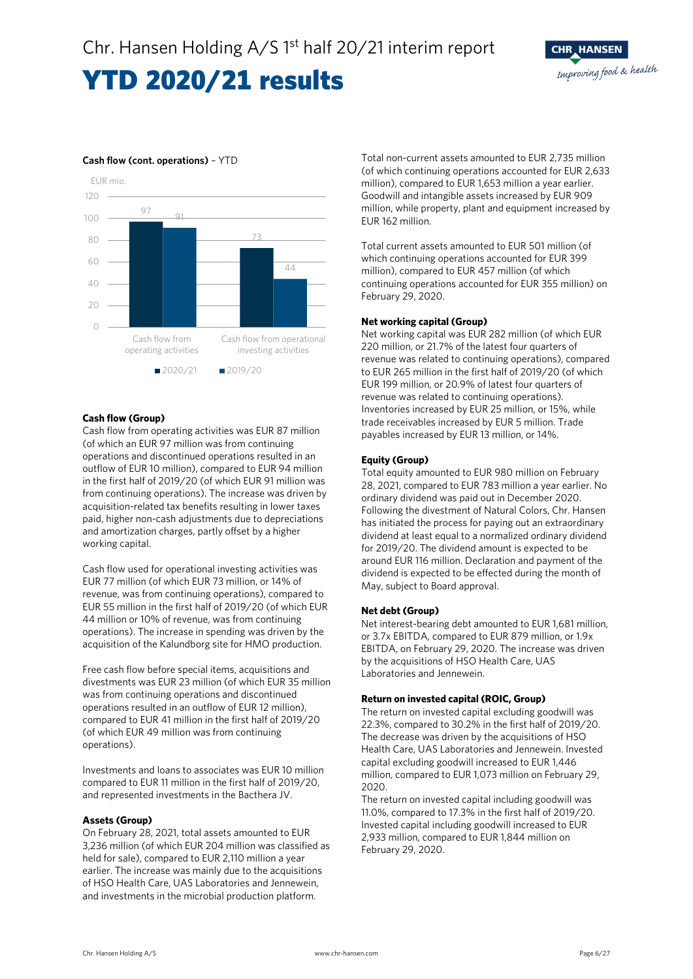



### **Cash flow (cont. operations)** – YTD

### **Cash flow (Group)**

Cash flow from operating activities was EUR 87 million (of which an EUR 97 million was from continuing operations and discontinued operations resulted in an outflow of EUR 10 million), compared to EUR 94 million in the first half of 2019/20 (of which EUR 91 million was from continuing operations). The increase was driven by acquisition-related tax benefits resulting in lower taxes paid, higher non-cash adjustments due to depreciations and amortization charges, partly offset by a higher working capital.

Cash flow used for operational investing activities was EUR 77 million (of which EUR 73 million, or 14% of revenue, was from continuing operations), compared to EUR 55 million in the first half of 2019/20 (of which EUR 44 million or 10% of revenue, was from continuing operations). The increase in spending was driven by the acquisition of the Kalundborg site for HMO production.

Free cash flow before special items, acquisitions and divestments was EUR 23 million (of which EUR 35 million was from continuing operations and discontinued operations resulted in an outflow of EUR 12 million), compared to EUR 41 million in the first half of 2019/20 (of which EUR 49 million was from continuing operations).

Investments and loans to associates was EUR 10 million compared to EUR 11 million in the first half of 2019/20, and represented investments in the Bacthera JV.

### **Assets (Group)**

On February 28, 2021, total assets amounted to EUR 3,236 million (of which EUR 204 million was classified as held for sale), compared to EUR 2,110 million a year earlier. The increase was mainly due to the acquisitions of HSO Health Care, UAS Laboratories and Jennewein, and investments in the microbial production platform.

Total non-current assets amounted to EUR 2,735 million (of which continuing operations accounted for EUR 2,633 million), compared to EUR 1,653 million a year earlier. Goodwill and intangible assets increased by EUR 909 million, while property, plant and equipment increased by EUR 162 million.

Total current assets amounted to EUR 501 million (of which continuing operations accounted for EUR 399 million), compared to EUR 457 million (of which continuing operations accounted for EUR 355 million) on February 29, 2020.

### **Net working capital (Group)**

Net working capital was EUR 282 million (of which EUR 220 million, or 21.7% of the latest four quarters of revenue was related to continuing operations), compared to EUR 265 million in the first half of 2019/20 (of which EUR 199 million, or 20.9% of latest four quarters of revenue was related to continuing operations). Inventories increased by EUR 25 million, or 15%, while trade receivables increased by EUR 5 million. Trade payables increased by EUR 13 million, or 14%.

### **Equity (Group)**

Total equity amounted to EUR 980 million on February 28, 2021, compared to EUR 783 million a year earlier. No ordinary dividend was paid out in December 2020. Following the divestment of Natural Colors, Chr. Hansen has initiated the process for paying out an extraordinary dividend at least equal to a normalized ordinary dividend for 2019/20. The dividend amount is expected to be around EUR 116 million. Declaration and payment of the dividend is expected to be effected during the month of May, subject to Board approval.

### **Net debt (Group)**

Net interest-bearing debt amounted to EUR 1,681 million, or 3.7x EBITDA, compared to EUR 879 million, or 1.9x EBITDA, on February 29, 2020. The increase was driven by the acquisitions of HSO Health Care, UAS Laboratories and Jennewein.

### **Return on invested capital (ROIC, Group)**

The return on invested capital excluding goodwill was 22.3%, compared to 30.2% in the first half of 2019/20. The decrease was driven by the acquisitions of HSO Health Care, UAS Laboratories and Jennewein. Invested capital excluding goodwill increased to EUR 1,446 million, compared to EUR 1,073 million on February 29, 2020.

The return on invested capital including goodwill was 11.0%, compared to 17.3% in the first half of 2019/20. Invested capital including goodwill increased to EUR 2,933 million, compared to EUR 1,844 million on February 29, 2020.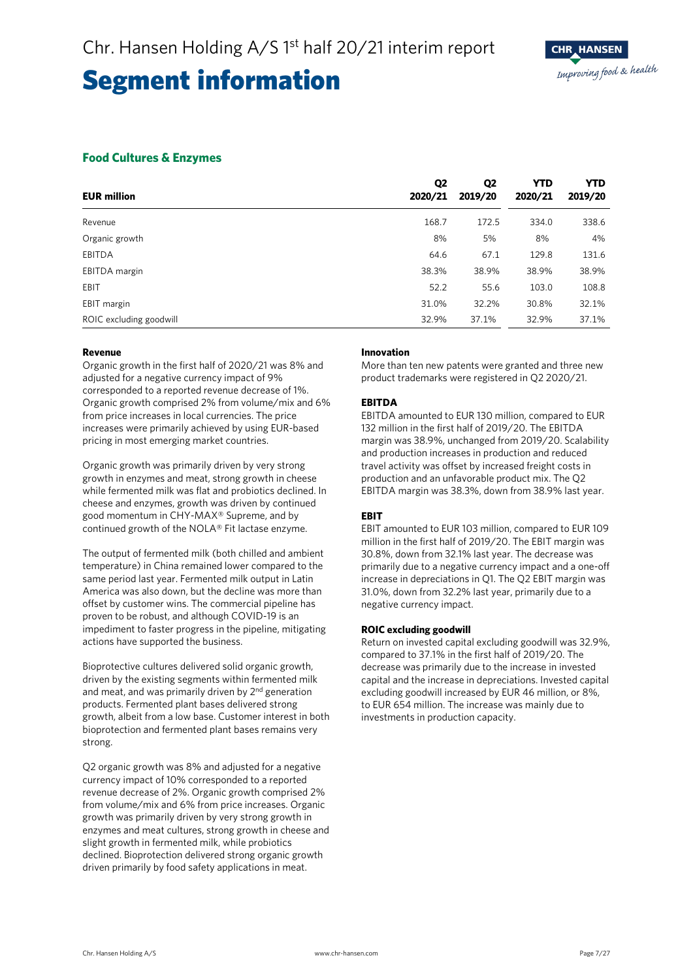### **Food Cultures & Enzymes**

| <b>EUR million</b>      | Q <sub>2</sub><br>2020/21 | Q <sub>2</sub><br>2019/20 | YTD<br>2020/21 | <b>YTD</b><br>2019/20 |
|-------------------------|---------------------------|---------------------------|----------------|-----------------------|
| Revenue                 | 168.7                     | 172.5                     | 334.0          | 338.6                 |
| Organic growth          | 8%                        | 5%                        | 8%             | 4%                    |
| <b>EBITDA</b>           | 64.6                      | 67.1                      | 129.8          | 131.6                 |
| EBITDA margin           | 38.3%                     | 38.9%                     | 38.9%          | 38.9%                 |
| EBIT                    | 52.2                      | 55.6                      | 103.0          | 108.8                 |
| EBIT margin             | 31.0%                     | 32.2%                     | 30.8%          | 32.1%                 |
| ROIC excluding goodwill | 32.9%                     | 37.1%                     | 32.9%          | 37.1%                 |

### **Revenue**

Organic growth in the first half of 2020/21 was 8% and adjusted for a negative currency impact of 9% corresponded to a reported revenue decrease of 1%. Organic growth comprised 2% from volume/mix and 6% from price increases in local currencies. The price increases were primarily achieved by using EUR-based pricing in most emerging market countries.

Organic growth was primarily driven by very strong growth in enzymes and meat, strong growth in cheese while fermented milk was flat and probiotics declined. In cheese and enzymes, growth was driven by continued good momentum in CHY-MAX® Supreme, and by continued growth of the NOLA® Fit lactase enzyme.

The output of fermented milk (both chilled and ambient temperature) in China remained lower compared to the same period last year. Fermented milk output in Latin America was also down, but the decline was more than offset by customer wins. The commercial pipeline has proven to be robust, and although COVID-19 is an impediment to faster progress in the pipeline, mitigating actions have supported the business.

Bioprotective cultures delivered solid organic growth, driven by the existing segments within fermented milk and meat, and was primarily driven by 2<sup>nd</sup> generation products. Fermented plant bases delivered strong growth, albeit from a low base. Customer interest in both bioprotection and fermented plant bases remains very strong.

Q2 organic growth was 8% and adjusted for a negative currency impact of 10% corresponded to a reported revenue decrease of 2%. Organic growth comprised 2% from volume/mix and 6% from price increases. Organic growth was primarily driven by very strong growth in enzymes and meat cultures, strong growth in cheese and slight growth in fermented milk, while probiotics declined. Bioprotection delivered strong organic growth driven primarily by food safety applications in meat.

### **Innovation**

More than ten new patents were granted and three new product trademarks were registered in Q2 2020/21.

### **EBITDA**

EBITDA amounted to EUR 130 million, compared to EUR 132 million in the first half of 2019/20. The EBITDA margin was 38.9%, unchanged from 2019/20. Scalability and production increases in production and reduced travel activity was offset by increased freight costs in production and an unfavorable product mix. The Q2 EBITDA margin was 38.3%, down from 38.9% last year.

### **EBIT**

EBIT amounted to EUR 103 million, compared to EUR 109 million in the first half of 2019/20. The EBIT margin was 30.8%, down from 32.1% last year. The decrease was primarily due to a negative currency impact and a one-off increase in depreciations in Q1. The Q2 EBIT margin was 31.0%, down from 32.2% last year, primarily due to a negative currency impact.

### **ROIC excluding goodwill**

Return on invested capital excluding goodwill was 32.9%, compared to 37.1% in the first half of 2019/20. The decrease was primarily due to the increase in invested capital and the increase in depreciations. Invested capital excluding goodwill increased by EUR 46 million, or 8%, to EUR 654 million. The increase was mainly due to investments in production capacity.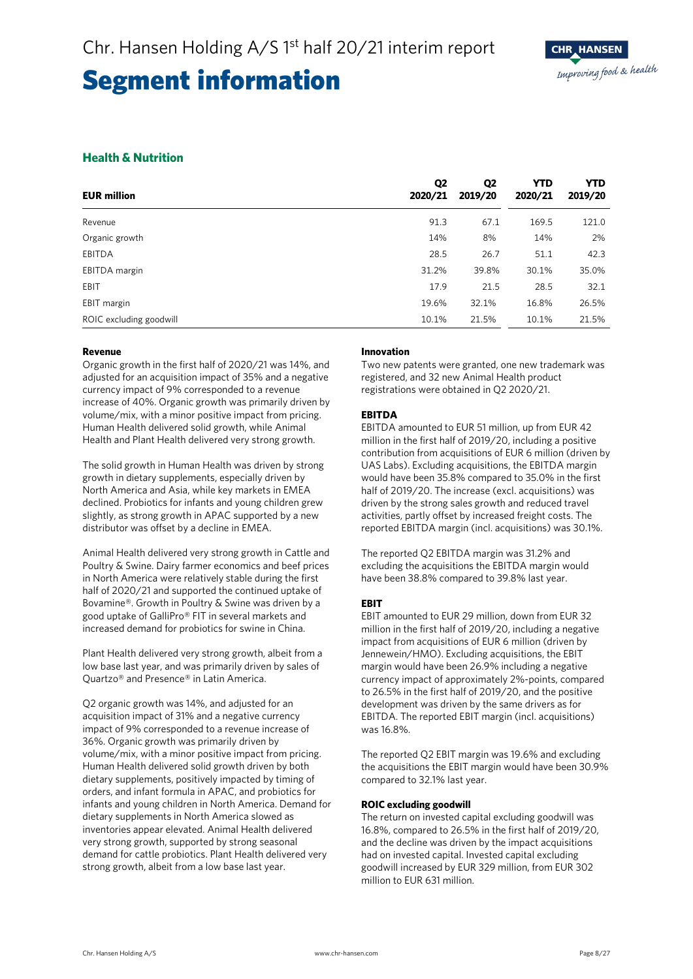### **Health & Nutrition**

| <b>EUR million</b>      | Q <sub>2</sub><br>2020/21 | Q <sub>2</sub><br>2019/20 | <b>YTD</b><br>2020/21 | <b>YTD</b><br>2019/20 |
|-------------------------|---------------------------|---------------------------|-----------------------|-----------------------|
| Revenue                 | 91.3                      | 67.1                      | 169.5                 | 121.0                 |
| Organic growth          | 14%                       | 8%                        | 14%                   | 2%                    |
| EBITDA                  | 28.5                      | 26.7                      | 51.1                  | 42.3                  |
| EBITDA margin           | 31.2%                     | 39.8%                     | 30.1%                 | 35.0%                 |
| EBIT                    | 17.9                      | 21.5                      | 28.5                  | 32.1                  |
| EBIT margin             | 19.6%                     | 32.1%                     | 16.8%                 | 26.5%                 |
| ROIC excluding goodwill | 10.1%                     | 21.5%                     | 10.1%                 | 21.5%                 |

### **Revenue**

Organic growth in the first half of 2020/21 was 14%, and adjusted for an acquisition impact of 35% and a negative currency impact of 9% corresponded to a revenue increase of 40%. Organic growth was primarily driven by volume/mix, with a minor positive impact from pricing. Human Health delivered solid growth, while Animal Health and Plant Health delivered very strong growth.

The solid growth in Human Health was driven by strong growth in dietary supplements, especially driven by North America and Asia, while key markets in EMEA declined. Probiotics for infants and young children grew slightly, as strong growth in APAC supported by a new distributor was offset by a decline in EMEA.

Animal Health delivered very strong growth in Cattle and Poultry & Swine. Dairy farmer economics and beef prices in North America were relatively stable during the first half of 2020/21 and supported the continued uptake of Bovamine®. Growth in Poultry & Swine was driven by a good uptake of GalliPro® FIT in several markets and increased demand for probiotics for swine in China.

Plant Health delivered very strong growth, albeit from a low base last year, and was primarily driven by sales of Quartzo® and Presence® in Latin America.

Q2 organic growth was 14%, and adjusted for an acquisition impact of 31% and a negative currency impact of 9% corresponded to a revenue increase of 36%. Organic growth was primarily driven by volume/mix, with a minor positive impact from pricing. Human Health delivered solid growth driven by both dietary supplements, positively impacted by timing of orders, and infant formula in APAC, and probiotics for infants and young children in North America. Demand for dietary supplements in North America slowed as inventories appear elevated. Animal Health delivered very strong growth, supported by strong seasonal demand for cattle probiotics. Plant Health delivered very strong growth, albeit from a low base last year.

### **Innovation**

Two new patents were granted, one new trademark was registered, and 32 new Animal Health product registrations were obtained in Q2 2020/21.

### **EBITDA**

EBITDA amounted to EUR 51 million, up from EUR 42 million in the first half of 2019/20, including a positive contribution from acquisitions of EUR 6 million (driven by UAS Labs). Excluding acquisitions, the EBITDA margin would have been 35.8% compared to 35.0% in the first half of 2019/20. The increase (excl. acquisitions) was driven by the strong sales growth and reduced travel activities, partly offset by increased freight costs. The reported EBITDA margin (incl. acquisitions) was 30.1%.

The reported Q2 EBITDA margin was 31.2% and excluding the acquisitions the EBITDA margin would have been 38.8% compared to 39.8% last year.

### **EBIT**

EBIT amounted to EUR 29 million, down from EUR 32 million in the first half of 2019/20, including a negative impact from acquisitions of EUR 6 million (driven by Jennewein/HMO). Excluding acquisitions, the EBIT margin would have been 26.9% including a negative currency impact of approximately 2%-points, compared to 26.5% in the first half of 2019/20, and the positive development was driven by the same drivers as for EBITDA. The reported EBIT margin (incl. acquisitions) was 16.8%.

The reported Q2 EBIT margin was 19.6% and excluding the acquisitions the EBIT margin would have been 30.9% compared to 32.1% last year.

### **ROIC excluding goodwill**

The return on invested capital excluding goodwill was 16.8%, compared to 26.5% in the first half of 2019/20, and the decline was driven by the impact acquisitions had on invested capital. Invested capital excluding goodwill increased by EUR 329 million, from EUR 302 million to EUR 631 million.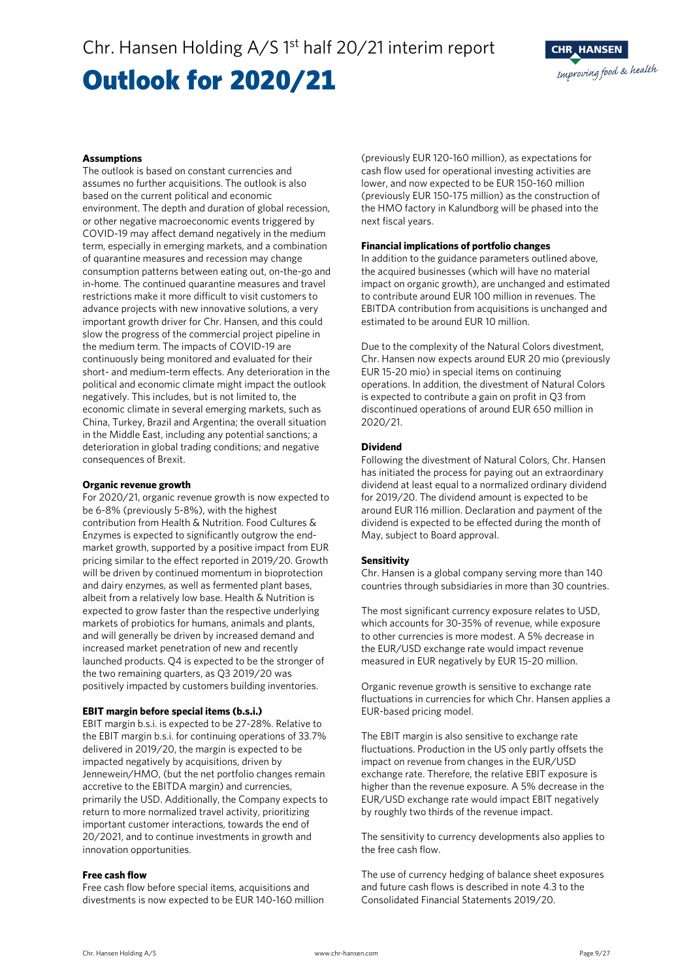### Outlook for 2020/21



#### **Assumptions**

The outlook is based on constant currencies and assumes no further acquisitions. The outlook is also based on the current political and economic environment. The depth and duration of global recession, or other negative macroeconomic events triggered by COVID-19 may affect demand negatively in the medium term, especially in emerging markets, and a combination of quarantine measures and recession may change consumption patterns between eating out, on-the-go and in-home. The continued quarantine measures and travel restrictions make it more difficult to visit customers to advance projects with new innovative solutions, a very important growth driver for Chr. Hansen, and this could slow the progress of the commercial project pipeline in the medium term. The impacts of COVID-19 are continuously being monitored and evaluated for their short- and medium-term effects. Any deterioration in the political and economic climate might impact the outlook negatively. This includes, but is not limited to, the economic climate in several emerging markets, such as China, Turkey, Brazil and Argentina; the overall situation in the Middle East, including any potential sanctions; a deterioration in global trading conditions; and negative consequences of Brexit.

#### **Organic revenue growth**

For 2020/21, organic revenue growth is now expected to be 6-8% (previously 5-8%), with the highest contribution from Health & Nutrition. Food Cultures & Enzymes is expected to significantly outgrow the endmarket growth, supported by a positive impact from EUR pricing similar to the effect reported in 2019/20. Growth will be driven by continued momentum in bioprotection and dairy enzymes, as well as fermented plant bases, albeit from a relatively low base. Health & Nutrition is expected to grow faster than the respective underlying markets of probiotics for humans, animals and plants, and will generally be driven by increased demand and increased market penetration of new and recently launched products. Q4 is expected to be the stronger of the two remaining quarters, as Q3 2019/20 was positively impacted by customers building inventories.

#### **EBIT margin before special items (b.s.i.)**

EBIT margin b.s.i. is expected to be 27-28%. Relative to the EBIT margin b.s.i. for continuing operations of 33.7% delivered in 2019/20, the margin is expected to be impacted negatively by acquisitions, driven by Jennewein/HMO, (but the net portfolio changes remain accretive to the EBITDA margin) and currencies, primarily the USD. Additionally, the Company expects to return to more normalized travel activity, prioritizing important customer interactions, towards the end of 20/2021, and to continue investments in growth and innovation opportunities.

#### **Free cash flow**

Free cash flow before special items, acquisitions and divestments is now expected to be EUR 140-160 million (previously EUR 120-160 million), as expectations for cash flow used for operational investing activities are lower, and now expected to be EUR 150-160 million (previously EUR 150-175 million) as the construction of the HMO factory in Kalundborg will be phased into the next fiscal years.

### **Financial implications of portfolio changes**

In addition to the guidance parameters outlined above, the acquired businesses (which will have no material impact on organic growth), are unchanged and estimated to contribute around EUR 100 million in revenues. The EBITDA contribution from acquisitions is unchanged and estimated to be around EUR 10 million.

Due to the complexity of the Natural Colors divestment, Chr. Hansen now expects around EUR 20 mio (previously EUR 15-20 mio) in special items on continuing operations. In addition, the divestment of Natural Colors is expected to contribute a gain on profit in Q3 from discontinued operations of around EUR 650 million in 2020/21.

### **Dividend**

Following the divestment of Natural Colors, Chr. Hansen has initiated the process for paying out an extraordinary dividend at least equal to a normalized ordinary dividend for 2019/20. The dividend amount is expected to be around EUR 116 million. Declaration and payment of the dividend is expected to be effected during the month of May, subject to Board approval.

### **Sensitivity**

Chr. Hansen is a global company serving more than 140 countries through subsidiaries in more than 30 countries.

The most significant currency exposure relates to USD, which accounts for 30-35% of revenue, while exposure to other currencies is more modest. A 5% decrease in the EUR/USD exchange rate would impact revenue measured in EUR negatively by EUR 15-20 million.

Organic revenue growth is sensitive to exchange rate fluctuations in currencies for which Chr. Hansen applies a EUR-based pricing model.

The EBIT margin is also sensitive to exchange rate fluctuations. Production in the US only partly offsets the impact on revenue from changes in the EUR/USD exchange rate. Therefore, the relative EBIT exposure is higher than the revenue exposure. A 5% decrease in the EUR/USD exchange rate would impact EBIT negatively by roughly two thirds of the revenue impact.

The sensitivity to currency developments also applies to the free cash flow.

The use of currency hedging of balance sheet exposures and future cash flows is described in note 4.3 to the Consolidated Financial Statements 2019/20.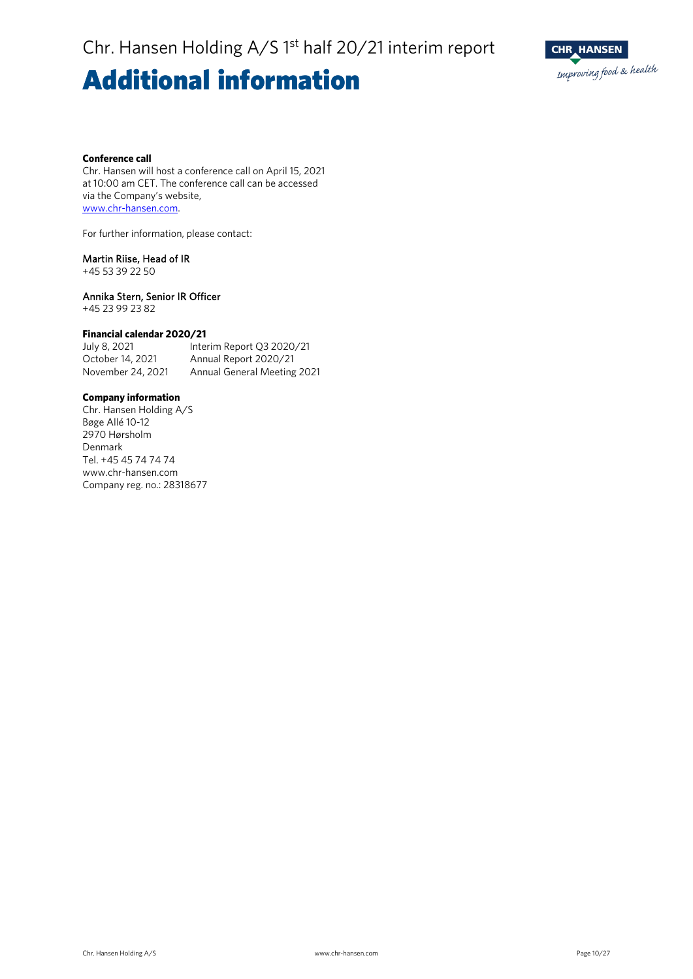### **Additional information**



#### **Conference call**

Chr. Hansen will host a conference call on April 15, 2021 at 10:00 am CET. The conference call can be accessed via the Company's website, [www.chr-hansen.com.](http://www.chr-hansen.com/)

For further information, please contact:

### Martin Riise, Head of IR

+45 53 39 22 50

### Annika Stern, Senior IR Officer

+45 23 99 23 82

### **Financial calendar 2020/21**

July 8, 2021 Interim Report Q3 2020/21 October 14, 2021 Annual Report 2020/21 November 24, 2021 Annual General Meeting 2021

### **Company information**

Chr. Hansen Holding A/S Bøge Allé 10-12 2970 Hørsholm Denmark Tel. +45 45 74 74 74 www.chr-hansen.com Company reg. no.: 28318677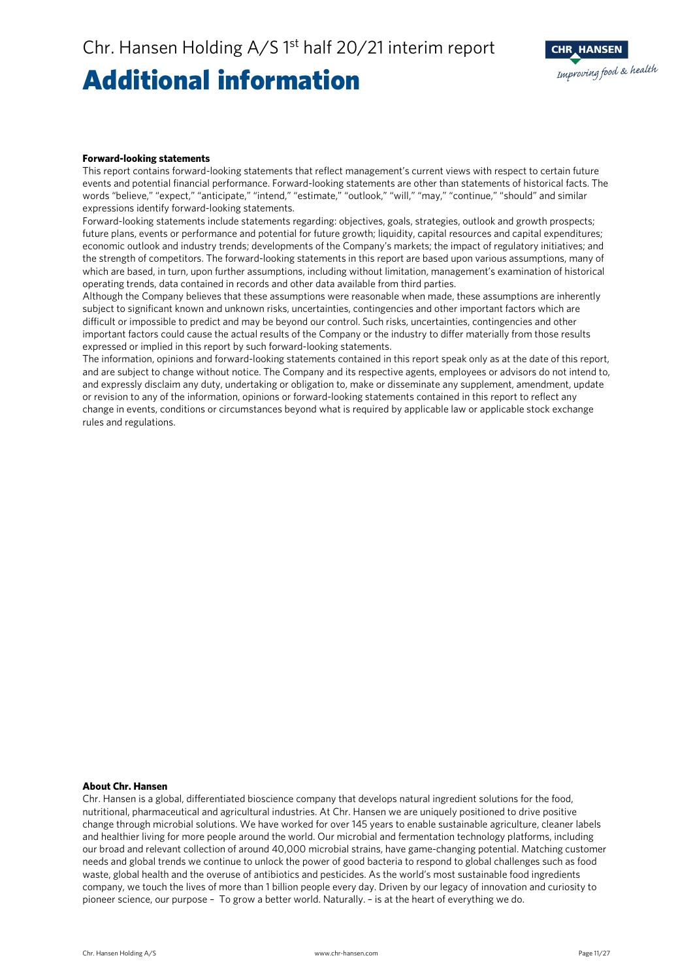### Additional information



#### **Forward-looking statements**

This report contains forward-looking statements that reflect management's current views with respect to certain future events and potential financial performance. Forward-looking statements are other than statements of historical facts. The words "believe," "expect," "anticipate," "intend," "estimate," "outlook," "will," "may," "continue," "should" and similar expressions identify forward-looking statements.

Forward-looking statements include statements regarding: objectives, goals, strategies, outlook and growth prospects; future plans, events or performance and potential for future growth; liquidity, capital resources and capital expenditures; economic outlook and industry trends; developments of the Company's markets; the impact of regulatory initiatives; and the strength of competitors. The forward-looking statements in this report are based upon various assumptions, many of which are based, in turn, upon further assumptions, including without limitation, management's examination of historical operating trends, data contained in records and other data available from third parties.

Although the Company believes that these assumptions were reasonable when made, these assumptions are inherently subject to significant known and unknown risks, uncertainties, contingencies and other important factors which are difficult or impossible to predict and may be beyond our control. Such risks, uncertainties, contingencies and other important factors could cause the actual results of the Company or the industry to differ materially from those results expressed or implied in this report by such forward-looking statements.

The information, opinions and forward-looking statements contained in this report speak only as at the date of this report, and are subject to change without notice. The Company and its respective agents, employees or advisors do not intend to, and expressly disclaim any duty, undertaking or obligation to, make or disseminate any supplement, amendment, update or revision to any of the information, opinions or forward-looking statements contained in this report to reflect any change in events, conditions or circumstances beyond what is required by applicable law or applicable stock exchange rules and regulations.

### **About Chr. Hansen**

Chr. Hansen is a global, differentiated bioscience company that develops natural ingredient solutions for the food, nutritional, pharmaceutical and agricultural industries. At Chr. Hansen we are uniquely positioned to drive positive change through microbial solutions. We have worked for over 145 years to enable sustainable agriculture, cleaner labels and healthier living for more people around the world. Our microbial and fermentation technology platforms, including our broad and relevant collection of around 40,000 microbial strains, have game-changing potential. Matching customer needs and global trends we continue to unlock the power of good bacteria to respond to global challenges such as food waste, global health and the overuse of antibiotics and pesticides. As the world's most sustainable food ingredients company, we touch the lives of more than 1 billion people every day. Driven by our legacy of innovation and curiosity to pioneer science, our purpose – To grow a better world. Naturally. – is at the heart of everything we do.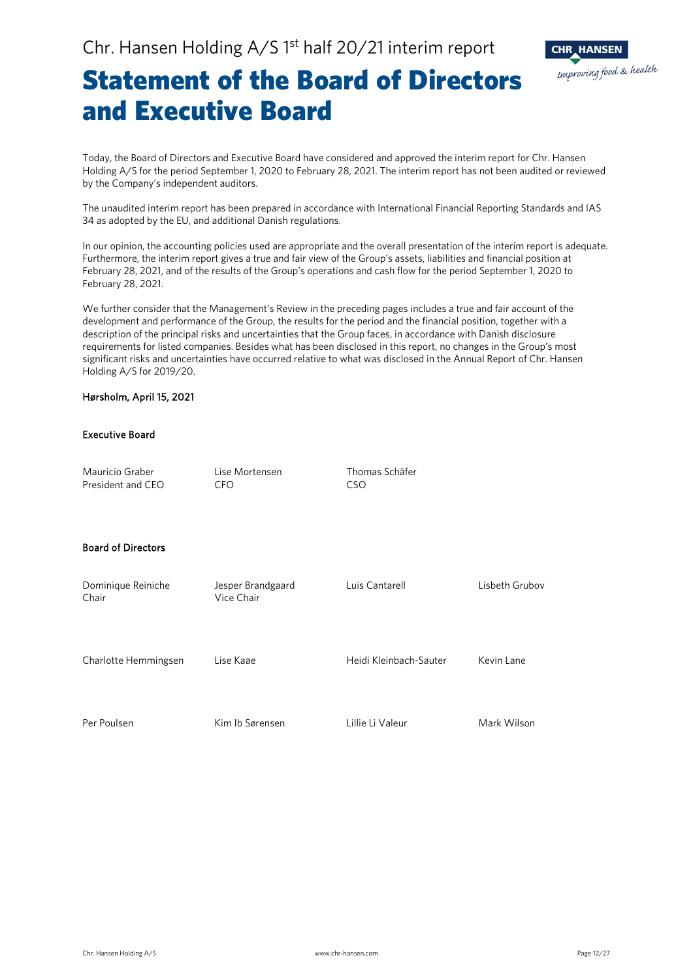

### Statement of the Board of Directors and Executive Board

Today, the Board of Directors and Executive Board have considered and approved the interim report for Chr. Hansen Holding A/S for the period September 1, 2020 to February 28, 2021. The interim report has not been audited or reviewed by the Company's independent auditors.

The unaudited interim report has been prepared in accordance with International Financial Reporting Standards and IAS 34 as adopted by the EU, and additional Danish regulations.

In our opinion, the accounting policies used are appropriate and the overall presentation of the interim report is adequate. Furthermore, the interim report gives a true and fair view of the Group's assets, liabilities and financial position at February 28, 2021, and of the results of the Group's operations and cash flow for the period September 1, 2020 to February 28, 2021.

We further consider that the Management's Review in the preceding pages includes a true and fair account of the development and performance of the Group, the results for the period and the financial position, together with a description of the principal risks and uncertainties that the Group faces, in accordance with Danish disclosure requirements for listed companies. Besides what has been disclosed in this report, no changes in the Group's most significant risks and uncertainties have occurred relative to what was disclosed in the Annual Report of Chr. Hansen Holding A/S for 2019/20.

### Hørsholm, April 15, 2021

### Executive Board

| Mauricio Graber<br>President and CEO | Lise Mortensen<br><b>CFO</b>    | Thomas Schäfer<br><b>CSO</b> |                |
|--------------------------------------|---------------------------------|------------------------------|----------------|
| <b>Board of Directors</b>            |                                 |                              |                |
| Dominique Reiniche<br>Chair          | Jesper Brandgaard<br>Vice Chair | Luis Cantarell               | Lisbeth Grubov |
| Charlotte Hemmingsen                 | Lise Kaae                       | Heidi Kleinbach-Sauter       | Kevin Lane     |
| Per Poulsen                          | Kim Ib Sørensen                 | Lillie Li Valeur             | Mark Wilson    |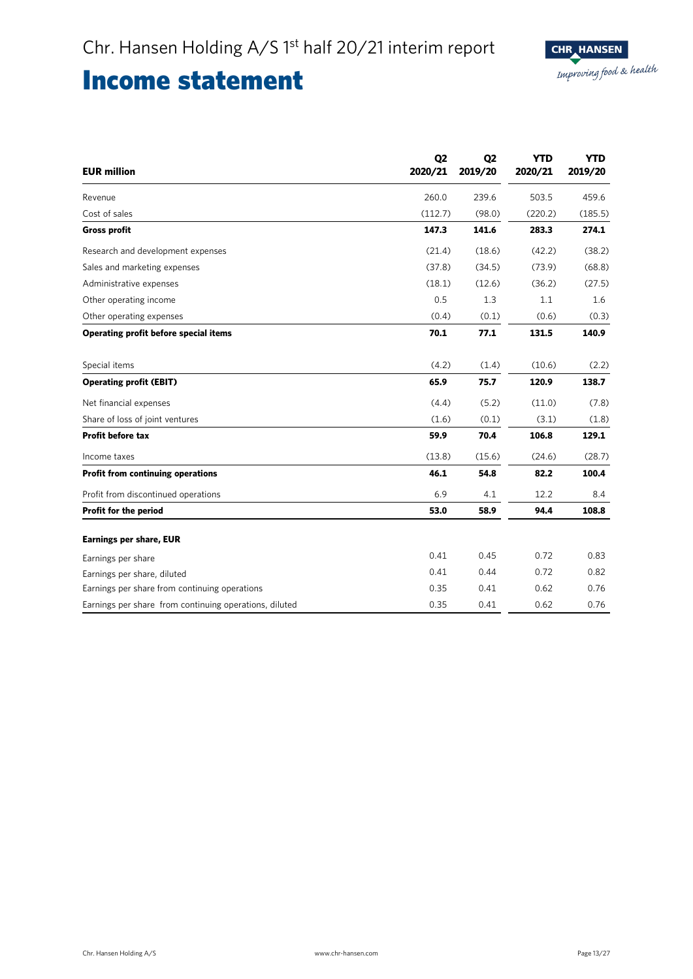### Income statement

| <b>EUR million</b>                                     | Q <sub>2</sub><br>2020/21 | Q <sub>2</sub><br>2019/20 | <b>YTD</b><br>2020/21 | <b>YTD</b><br>2019/20 |
|--------------------------------------------------------|---------------------------|---------------------------|-----------------------|-----------------------|
| Revenue                                                | 260.0                     | 239.6                     | 503.5                 | 459.6                 |
| Cost of sales                                          | (112.7)                   | (98.0)                    | (220.2)               | (185.5)               |
| <b>Gross profit</b>                                    | 147.3                     | 141.6                     | 283.3                 | 274.1                 |
| Research and development expenses                      | (21.4)                    | (18.6)                    | (42.2)                | (38.2)                |
| Sales and marketing expenses                           | (37.8)                    | (34.5)                    | (73.9)                | (68.8)                |
| Administrative expenses                                | (18.1)                    | (12.6)                    | (36.2)                | (27.5)                |
| Other operating income                                 | 0.5                       | 1.3                       | 1.1                   | 1.6                   |
| Other operating expenses                               | (0.4)                     | (0.1)                     | (0.6)                 | (0.3)                 |
| Operating profit before special items                  | 70.1                      | 77.1                      | 131.5                 | 140.9                 |
| Special items                                          | (4.2)                     | (1.4)                     | (10.6)                | (2.2)                 |
| <b>Operating profit (EBIT)</b>                         | 65.9                      | 75.7                      | 120.9                 | 138.7                 |
| Net financial expenses                                 | (4.4)                     | (5.2)                     | (11.0)                | (7.8)                 |
| Share of loss of joint ventures                        | (1.6)                     | (0.1)                     | (3.1)                 | (1.8)                 |
| <b>Profit before tax</b>                               | 59.9                      | 70.4                      | 106.8                 | 129.1                 |
| Income taxes                                           | (13.8)                    | (15.6)                    | (24.6)                | (28.7)                |
| Profit from continuing operations                      | 46.1                      | 54.8                      | 82.2                  | 100.4                 |
| Profit from discontinued operations                    | 6.9                       | 4.1                       | 12.2                  | 8.4                   |
| Profit for the period                                  | 53.0                      | 58.9                      | 94.4                  | 108.8                 |
| <b>Earnings per share, EUR</b>                         |                           |                           |                       |                       |
| Earnings per share                                     | 0.41                      | 0.45                      | 0.72                  | 0.83                  |
| Earnings per share, diluted                            | 0.41                      | 0.44                      | 0.72                  | 0.82                  |
| Earnings per share from continuing operations          | 0.35                      | 0.41                      | 0.62                  | 0.76                  |
| Earnings per share from continuing operations, diluted | 0.35                      | 0.41                      | 0.62                  | 0.76                  |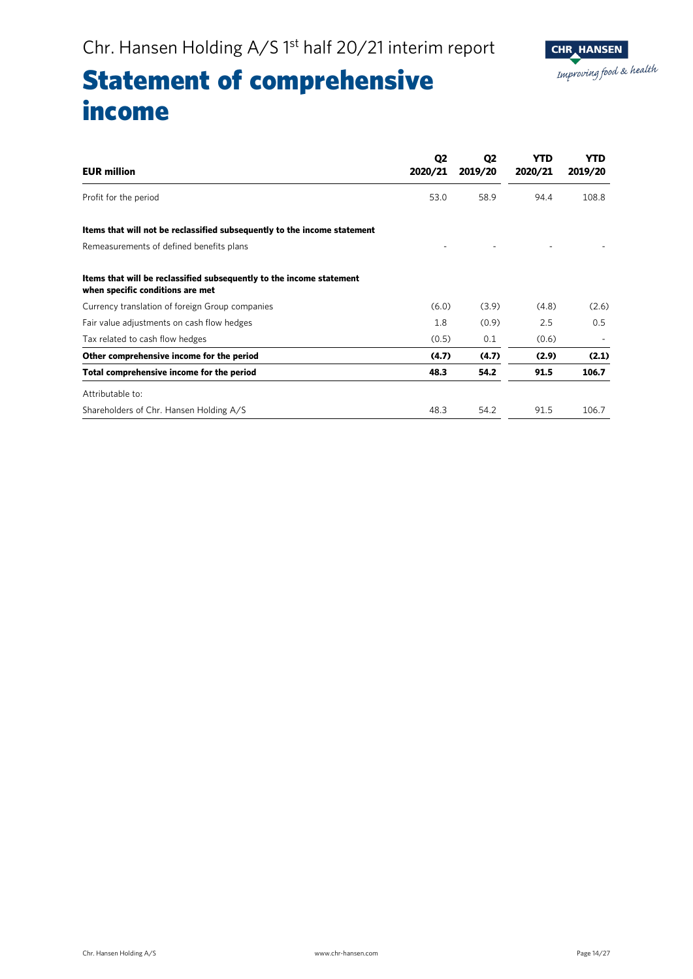

## Statement of comprehensive income

| <b>EUR million</b>                                                                                       | Q <sub>2</sub><br>2020/21 | Q <sub>2</sub><br>2019/20 | YTD<br>2020/21 | YTD<br>2019/20 |
|----------------------------------------------------------------------------------------------------------|---------------------------|---------------------------|----------------|----------------|
| Profit for the period                                                                                    | 53.0                      | 58.9                      | 94.4           | 108.8          |
| Items that will not be reclassified subsequently to the income statement                                 |                           |                           |                |                |
| Remeasurements of defined benefits plans                                                                 |                           |                           |                |                |
| Items that will be reclassified subsequently to the income statement<br>when specific conditions are met |                           |                           |                |                |
| Currency translation of foreign Group companies                                                          | (6.0)                     | (3.9)                     | (4.8)          | (2.6)          |
| Fair value adjustments on cash flow hedges                                                               | 1.8                       | (0.9)                     | 2.5            | 0.5            |
| Tax related to cash flow hedges                                                                          | (0.5)                     | 0.1                       | (0.6)          |                |
| Other comprehensive income for the period                                                                | (4.7)                     | (4.7)                     | (2.9)          | (2.1)          |
| Total comprehensive income for the period                                                                | 48.3                      | 54.2                      | 91.5           | 106.7          |
| Attributable to:                                                                                         |                           |                           |                |                |
| Shareholders of Chr. Hansen Holding A/S                                                                  | 48.3                      | 54.2                      | 91.5           | 106.7          |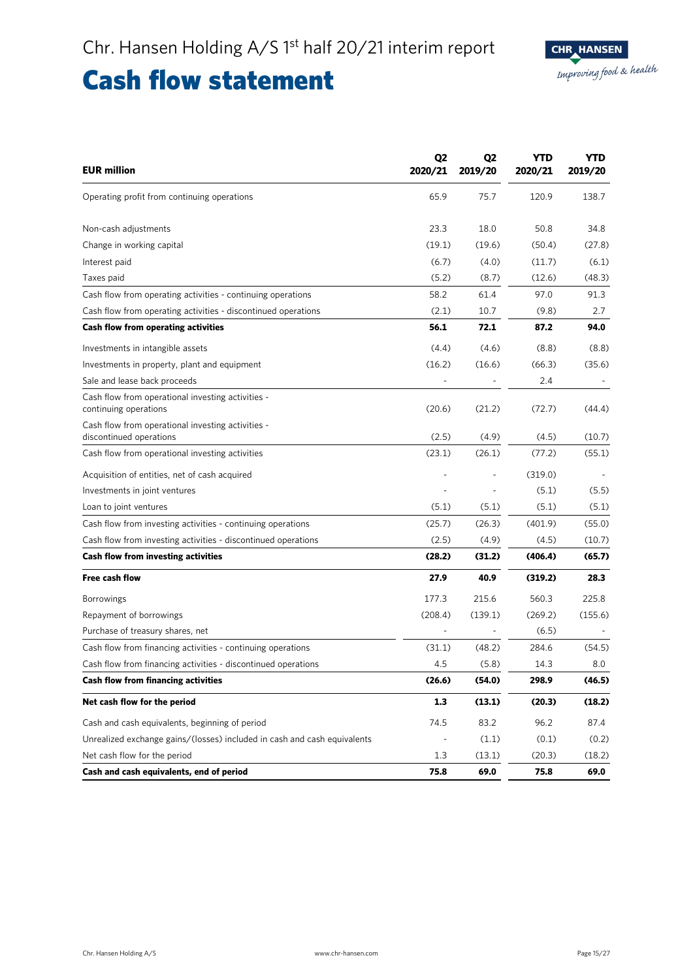### Cash flow statement

| <b>EUR million</b>                                                           | Q <sub>2</sub><br>2020/21 | Q <sub>2</sub><br>2019/20 | YTD<br>2020/21 | <b>YTD</b><br>2019/20 |
|------------------------------------------------------------------------------|---------------------------|---------------------------|----------------|-----------------------|
| Operating profit from continuing operations                                  | 65.9                      | 75.7                      | 120.9          | 138.7                 |
| Non-cash adjustments                                                         | 23.3                      | 18.0                      | 50.8           | 34.8                  |
| Change in working capital                                                    | (19.1)                    | (19.6)                    | (50.4)         | (27.8)                |
| Interest paid                                                                | (6.7)                     | (4.0)                     | (11.7)         | (6.1)                 |
| Taxes paid                                                                   | (5.2)                     | (8.7)                     | (12.6)         | (48.3)                |
| Cash flow from operating activities - continuing operations                  | 58.2                      | 61.4                      | 97.0           | 91.3                  |
| Cash flow from operating activities - discontinued operations                | (2.1)                     | 10.7                      | (9.8)          | 2.7                   |
| Cash flow from operating activities                                          | 56.1                      | 72.1                      | 87.2           | 94.0                  |
| Investments in intangible assets                                             | (4.4)                     | (4.6)                     | (8.8)          | (8.8)                 |
| Investments in property, plant and equipment                                 | (16.2)                    | (16.6)                    | (66.3)         | (35.6)                |
| Sale and lease back proceeds                                                 |                           |                           | 2.4            |                       |
| Cash flow from operational investing activities -<br>continuing operations   | (20.6)                    | (21.2)                    | (72.7)         | (44.4)                |
| Cash flow from operational investing activities -<br>discontinued operations | (2.5)                     | (4.9)                     | (4.5)          | (10.7)                |
| Cash flow from operational investing activities                              | (23.1)                    | (26.1)                    | (77.2)         | (55.1)                |
| Acquisition of entities, net of cash acquired                                |                           |                           | (319.0)        |                       |
| Investments in joint ventures                                                |                           |                           | (5.1)          | (5.5)                 |
| Loan to joint ventures                                                       | (5.1)                     | (5.1)                     | (5.1)          | (5.1)                 |
| Cash flow from investing activities - continuing operations                  | (25.7)                    | (26.3)                    | (401.9)        | (55.0)                |
| Cash flow from investing activities - discontinued operations                | (2.5)                     | (4.9)                     | (4.5)          | (10.7)                |
| Cash flow from investing activities                                          | (28.2)                    | (31.2)                    | (406.4)        | (65.7)                |
| <b>Free cash flow</b>                                                        | 27.9                      | 40.9                      | (319.2)        | 28.3                  |
| <b>Borrowings</b>                                                            | 177.3                     | 215.6                     | 560.3          | 225.8                 |
| Repayment of borrowings                                                      | (208.4)                   | (139.1)                   | (269.2)        | (155.6)               |
| Purchase of treasury shares, net                                             |                           |                           | (6.5)          |                       |
| Cash flow from financing activities - continuing operations                  | (31.1)                    | (48.2)                    | 284.6          | (54.5)                |
| Cash flow from financing activities - discontinued operations                | 4.5                       | (5.8)                     | 14.3           | 8.0                   |
| Cash flow from financing activities                                          | (26.6)                    | (54.0)                    | 298.9          | (46.5)                |
| Net cash flow for the period                                                 | 1.3                       | (13.1)                    | (20.3)         | (18.2)                |
| Cash and cash equivalents, beginning of period                               | 74.5                      | 83.2                      | 96.2           | 87.4                  |
| Unrealized exchange gains/(losses) included in cash and cash equivalents     |                           | (1.1)                     | (0.1)          | (0.2)                 |
| Net cash flow for the period                                                 | 1.3                       | (13.1)                    | (20.3)         | (18.2)                |
| Cash and cash equivalents, end of period                                     | 75.8                      | 69.0                      | 75.8           | 69.0                  |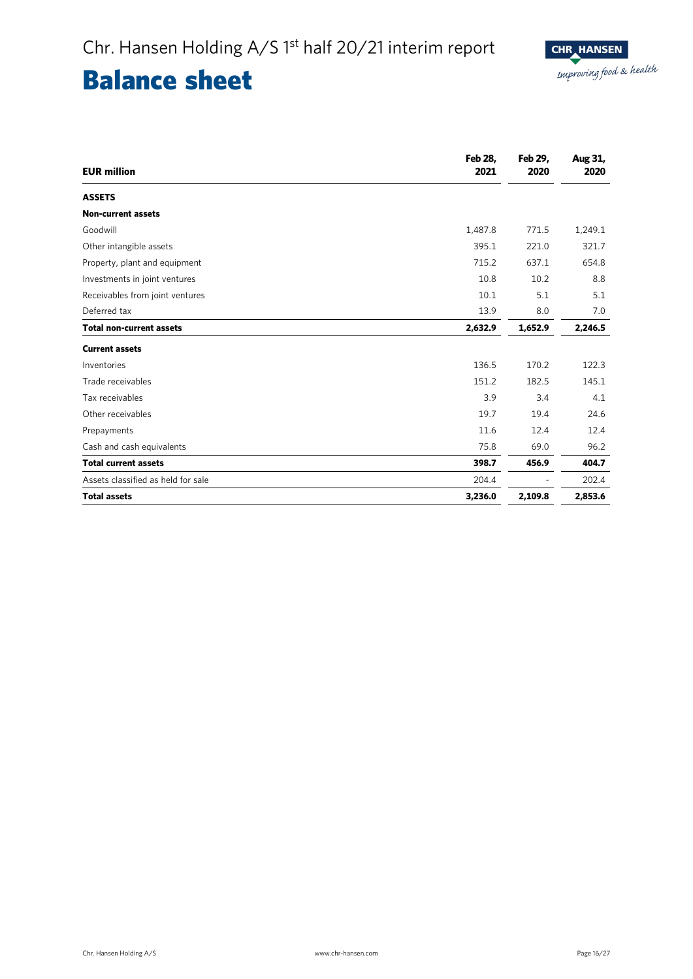## Balance sheet

| <b>EUR million</b>                 | Feb 28,<br>2021 | Feb 29,<br>2020 | Aug 31,<br>2020 |
|------------------------------------|-----------------|-----------------|-----------------|
| <b>ASSETS</b>                      |                 |                 |                 |
| <b>Non-current assets</b>          |                 |                 |                 |
| Goodwill                           | 1,487.8         | 771.5           | 1,249.1         |
| Other intangible assets            | 395.1           | 221.0           | 321.7           |
| Property, plant and equipment      | 715.2           | 637.1           | 654.8           |
| Investments in joint ventures      | 10.8            | 10.2            | 8.8             |
| Receivables from joint ventures    | 10.1            | 5.1             | 5.1             |
| Deferred tax                       | 13.9            | 8.0             | 7.0             |
| <b>Total non-current assets</b>    | 2,632.9         | 1,652.9         | 2,246.5         |
| <b>Current assets</b>              |                 |                 |                 |
| Inventories                        | 136.5           | 170.2           | 122.3           |
| Trade receivables                  | 151.2           | 182.5           | 145.1           |
| Tax receivables                    | 3.9             | 3.4             | 4.1             |
| Other receivables                  | 19.7            | 19.4            | 24.6            |
| Prepayments                        | 11.6            | 12.4            | 12.4            |
| Cash and cash equivalents          | 75.8            | 69.0            | 96.2            |
| <b>Total current assets</b>        | 398.7           | 456.9           | 404.7           |
| Assets classified as held for sale | 204.4           |                 | 202.4           |
| <b>Total assets</b>                | 3,236.0         | 2,109.8         | 2,853.6         |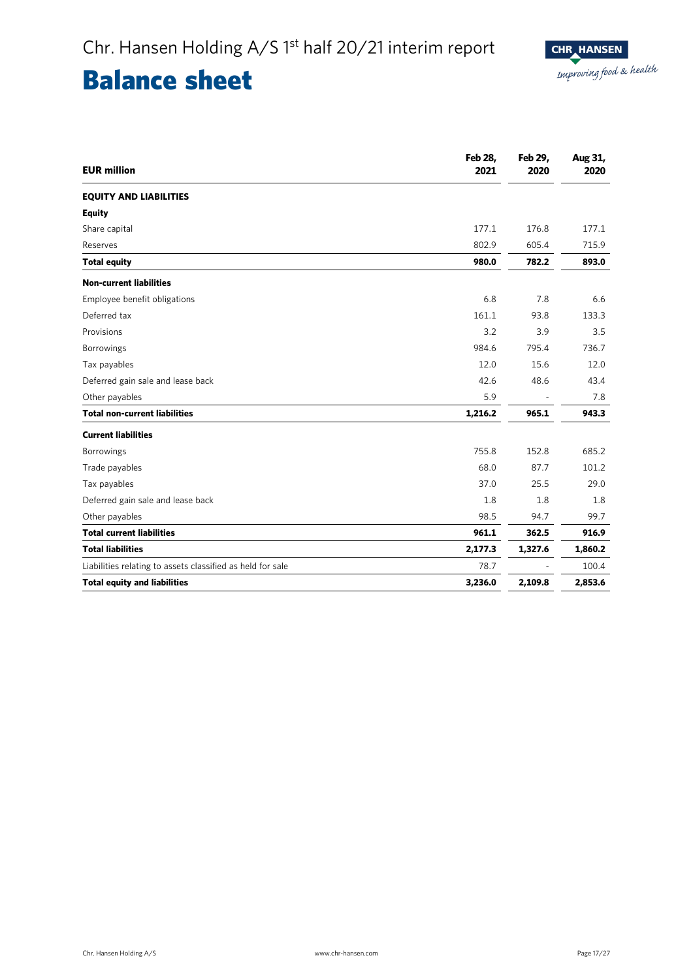### Balance sheet

| <b>EUR million</b>                                         | Feb 28,<br>2021 | Feb 29,<br>2020 | Aug 31,<br>2020 |
|------------------------------------------------------------|-----------------|-----------------|-----------------|
| <b>EQUITY AND LIABILITIES</b>                              |                 |                 |                 |
| <b>Equity</b>                                              |                 |                 |                 |
| Share capital                                              | 177.1           | 176.8           | 177.1           |
| Reserves                                                   | 802.9           | 605.4           | 715.9           |
| <b>Total equity</b>                                        | 980.0           | 782.2           | 893.0           |
| <b>Non-current liabilities</b>                             |                 |                 |                 |
| Employee benefit obligations                               | 6.8             | 7.8             | 6.6             |
| Deferred tax                                               | 161.1           | 93.8            | 133.3           |
| Provisions                                                 | 3.2             | 3.9             | 3.5             |
| Borrowings                                                 | 984.6           | 795.4           | 736.7           |
| Tax payables                                               | 12.0            | 15.6            | 12.0            |
| Deferred gain sale and lease back                          | 42.6            | 48.6            | 43.4            |
| Other payables                                             | 5.9             |                 | 7.8             |
| <b>Total non-current liabilities</b>                       | 1,216.2         | 965.1           | 943.3           |
| <b>Current liabilities</b>                                 |                 |                 |                 |
| <b>Borrowings</b>                                          | 755.8           | 152.8           | 685.2           |
| Trade payables                                             | 68.0            | 87.7            | 101.2           |
| Tax payables                                               | 37.0            | 25.5            | 29.0            |
| Deferred gain sale and lease back                          | 1.8             | 1.8             | 1.8             |
| Other payables                                             | 98.5            | 94.7            | 99.7            |
| <b>Total current liabilities</b>                           | 961.1           | 362.5           | 916.9           |
| <b>Total liabilities</b>                                   | 2,177.3         | 1,327.6         | 1,860.2         |
| Liabilities relating to assets classified as held for sale | 78.7            |                 | 100.4           |
| <b>Total equity and liabilities</b>                        | 3,236.0         | 2,109.8         | 2,853.6         |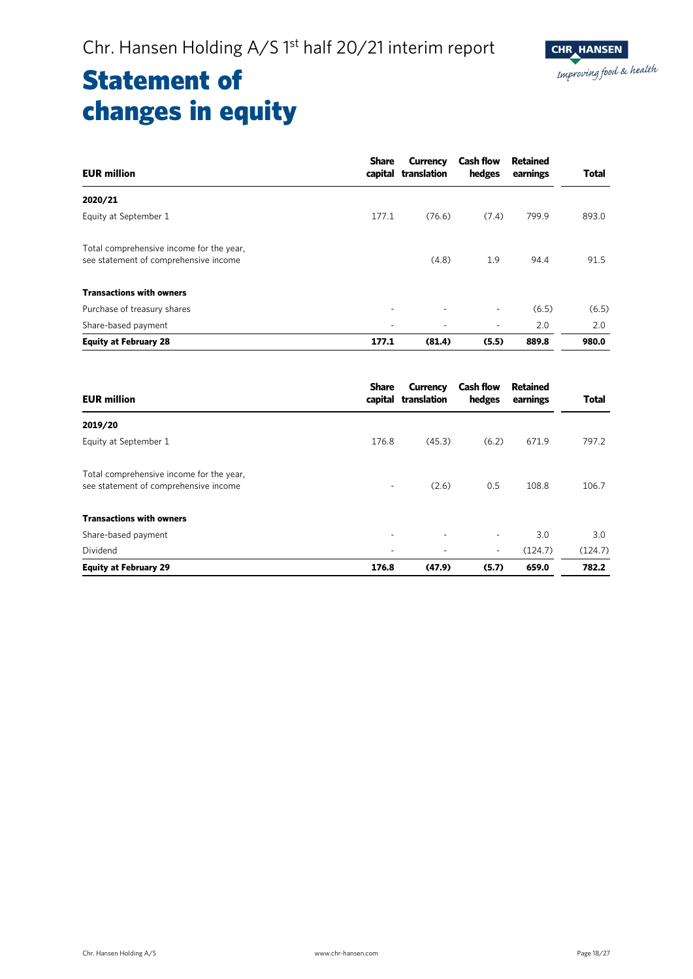### Statement of changes in equity

| <b>EUR million</b>                                                                | <b>Share</b> | <b>Currency</b><br>capital translation | <b>Cash flow</b><br>hedges | <b>Retained</b><br>earnings | <b>Total</b> |
|-----------------------------------------------------------------------------------|--------------|----------------------------------------|----------------------------|-----------------------------|--------------|
| 2020/21                                                                           |              |                                        |                            |                             |              |
| Equity at September 1                                                             | 177.1        | (76.6)                                 | (7.4)                      | 799.9                       | 893.0        |
| Total comprehensive income for the year,<br>see statement of comprehensive income |              | (4.8)                                  | 1.9                        | 94.4                        | 91.5         |
| <b>Transactions with owners</b>                                                   |              |                                        |                            |                             |              |
| Purchase of treasury shares                                                       |              |                                        | $\overline{\phantom{0}}$   | (6.5)                       | (6.5)        |
| Share-based payment                                                               | ٠            | ٠                                      | ٠                          | 2.0                         | 2.0          |
| <b>Equity at February 28</b>                                                      | 177.1        | (81.4)                                 | (5.5)                      | 889.8                       | 980.0        |

| <b>EUR million</b>                                                                | <b>Share</b> | <b>Currency</b><br>capital translation | <b>Cash flow</b><br>hedges | Retained<br>earnings | <b>Total</b> |
|-----------------------------------------------------------------------------------|--------------|----------------------------------------|----------------------------|----------------------|--------------|
| 2019/20                                                                           |              |                                        |                            |                      |              |
| Equity at September 1                                                             | 176.8        | (45.3)                                 | (6.2)                      | 671.9                | 797.2        |
| Total comprehensive income for the year,<br>see statement of comprehensive income |              | (2.6)                                  | 0.5                        | 108.8                | 106.7        |
| <b>Transactions with owners</b>                                                   |              |                                        |                            |                      |              |
| Share-based payment                                                               |              | ٠                                      | $\overline{\phantom{a}}$   | 3.0                  | 3.0          |
| Dividend                                                                          |              |                                        | ٠                          | (124.7)              | (124.7)      |
| <b>Equity at February 29</b>                                                      | 176.8        | (47.9)                                 | (5.7)                      | 659.0                | 782.2        |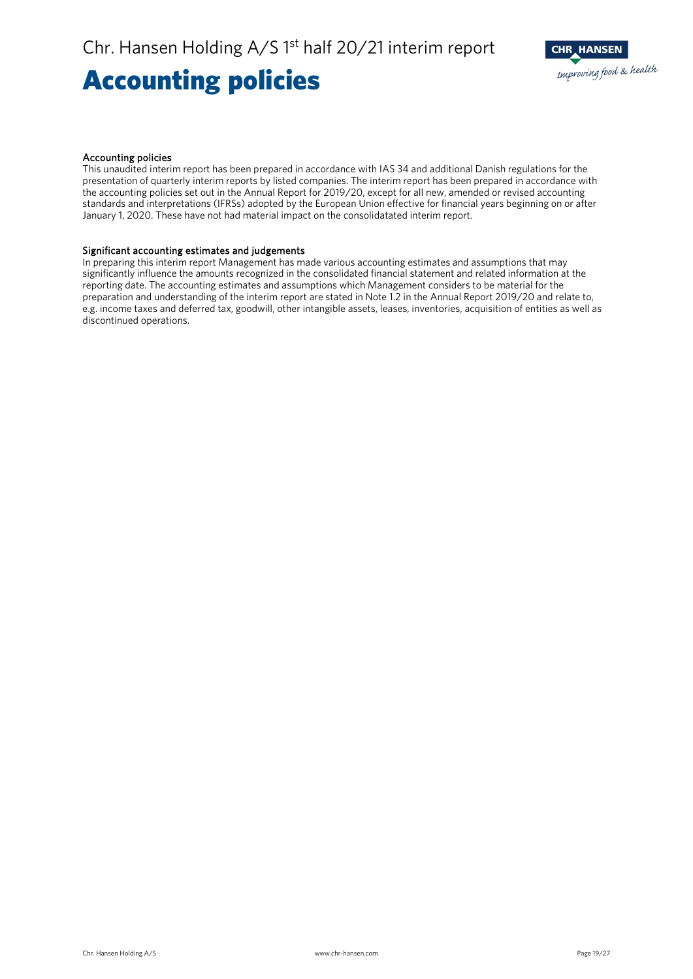### Accounting policies



### Accounting policies

This unaudited interim report has been prepared in accordance with IAS 34 and additional Danish regulations for the presentation of quarterly interim reports by listed companies. The interim report has been prepared in accordance with the accounting policies set out in the Annual Report for 2019/20, except for all new, amended or revised accounting standards and interpretations (IFRSs) adopted by the European Union effective for financial years beginning on or after January 1, 2020. These have not had material impact on the consolidatated interim report.

### Significant accounting estimates and judgements

In preparing this interim report Management has made various accounting estimates and assumptions that may significantly influence the amounts recognized in the consolidated financial statement and related information at the reporting date. The accounting estimates and assumptions which Management considers to be material for the preparation and understanding of the interim report are stated in Note 1.2 in the Annual Report 2019/20 and relate to, e.g. income taxes and deferred tax, goodwill, other intangible assets, leases, inventories, acquisition of entities as well as discontinued operations.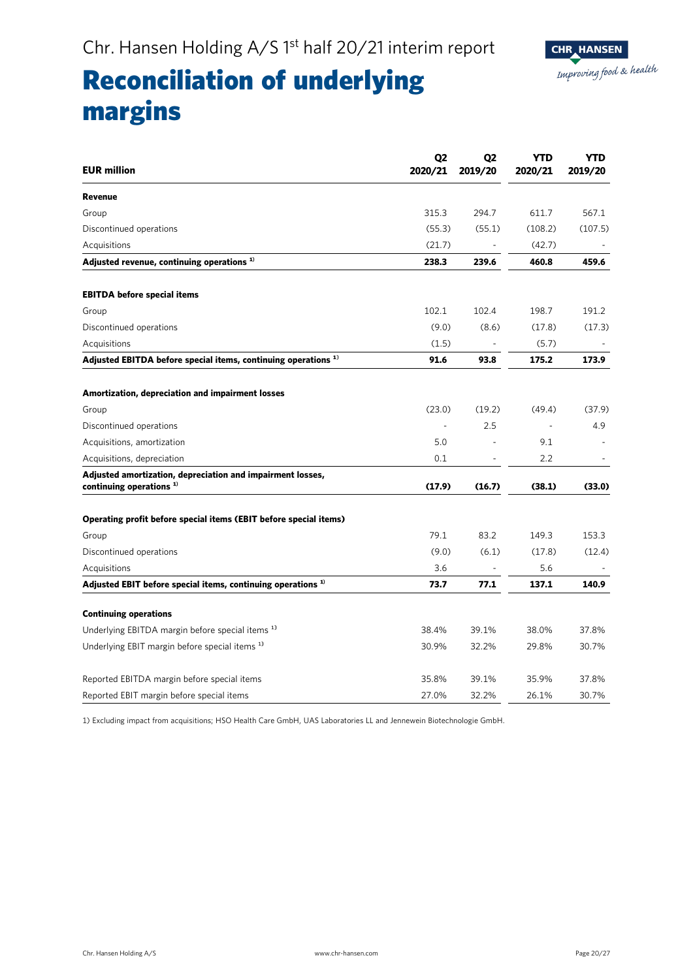

## Reconciliation of underlying margins

| <b>EUR million</b>                                                                      | Q <sub>2</sub><br>2020/21 | Q <sub>2</sub><br>2019/20 | <b>YTD</b><br>2020/21 | <b>YTD</b><br>2019/20 |
|-----------------------------------------------------------------------------------------|---------------------------|---------------------------|-----------------------|-----------------------|
| <b>Revenue</b>                                                                          |                           |                           |                       |                       |
| Group                                                                                   | 315.3                     | 294.7                     | 611.7                 | 567.1                 |
| Discontinued operations                                                                 | (55.3)                    | (55.1)                    | (108.2)               | (107.5)               |
| Acquisitions                                                                            | (21.7)                    |                           | (42.7)                |                       |
| Adjusted revenue, continuing operations <sup>1)</sup>                                   | 238.3                     | 239.6                     | 460.8                 | 459.6                 |
| <b>EBITDA before special items</b>                                                      |                           |                           |                       |                       |
| Group                                                                                   | 102.1                     | 102.4                     | 198.7                 | 191.2                 |
| Discontinued operations                                                                 | (9.0)                     | (8.6)                     | (17.8)                | (17.3)                |
| Acquisitions                                                                            | (1.5)                     |                           | (5.7)                 |                       |
| Adjusted EBITDA before special items, continuing operations <sup>1)</sup>               | 91.6                      | 93.8                      | 175.2                 | 173.9                 |
| Amortization, depreciation and impairment losses                                        |                           |                           |                       |                       |
| Group                                                                                   | (23.0)                    | (19.2)                    | (49.4)                | (37.9)                |
| Discontinued operations                                                                 |                           | 2.5                       |                       | 4.9                   |
| Acquisitions, amortization                                                              | 5.0                       |                           | 9.1                   |                       |
| Acquisitions, depreciation                                                              | 0.1                       |                           | 2.2                   |                       |
| Adjusted amortization, depreciation and impairment losses,<br>continuing operations $1$ | (17.9)                    | (16.7)                    | (38.1)                | (33.0)                |
| Operating profit before special items (EBIT before special items)                       |                           |                           |                       |                       |
| Group                                                                                   | 79.1                      | 83.2                      | 149.3                 | 153.3                 |
| Discontinued operations                                                                 | (9.0)                     | (6.1)                     | (17.8)                | (12.4)                |
| Acquisitions                                                                            | 3.6                       |                           | 5.6                   |                       |
| Adjusted EBIT before special items, continuing operations $1$                           | 73.7                      | 77.1                      | 137.1                 | 140.9                 |
| <b>Continuing operations</b>                                                            |                           |                           |                       |                       |
| Underlying EBITDA margin before special items <sup>1)</sup>                             | 38.4%                     | 39.1%                     | 38.0%                 | 37.8%                 |
| Underlying EBIT margin before special items <sup>1)</sup>                               | 30.9%                     | 32.2%                     | 29.8%                 | 30.7%                 |
| Reported EBITDA margin before special items                                             | 35.8%                     | 39.1%                     | 35.9%                 | 37.8%                 |
| Reported EBIT margin before special items                                               | 27.0%                     | 32.2%                     | 26.1%                 | 30.7%                 |

1) Excluding impact from acquisitions; HSO Health Care GmbH, UAS Laboratories LL and Jennewein Biotechnologie GmbH.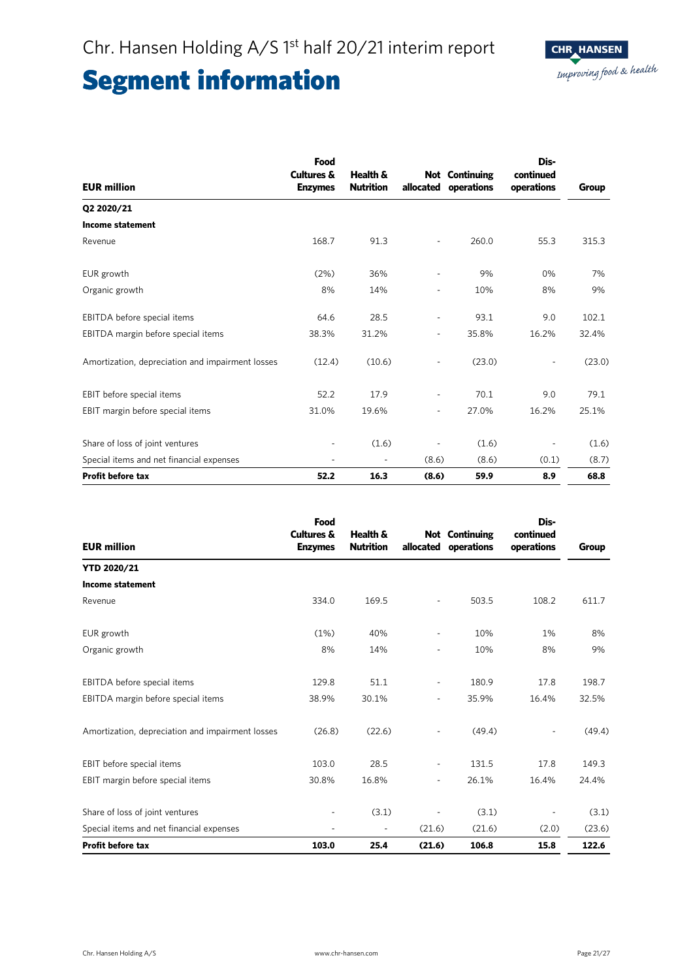| <b>EUR million</b>                               | Food<br>Cultures &<br><b>Enzymes</b> | Health &<br><b>Nutrition</b> | allocated                | <b>Not</b> Continuing<br>operations | Dis-<br>continued<br>operations | Group  |
|--------------------------------------------------|--------------------------------------|------------------------------|--------------------------|-------------------------------------|---------------------------------|--------|
| Q2 2020/21                                       |                                      |                              |                          |                                     |                                 |        |
| <b>Income statement</b>                          |                                      |                              |                          |                                     |                                 |        |
| Revenue                                          | 168.7                                | 91.3                         |                          | 260.0                               | 55.3                            | 315.3  |
| EUR growth                                       | (2%)                                 | 36%                          | ä,                       | 9%                                  | 0%                              | 7%     |
| Organic growth                                   | 8%                                   | 14%                          | ٠                        | 10%                                 | 8%                              | 9%     |
| EBITDA before special items                      | 64.6                                 | 28.5                         | $\overline{\phantom{0}}$ | 93.1                                | 9.0                             | 102.1  |
| EBITDA margin before special items               | 38.3%                                | 31.2%                        | $\overline{\phantom{a}}$ | 35.8%                               | 16.2%                           | 32.4%  |
| Amortization, depreciation and impairment losses | (12.4)                               | (10.6)                       | $\overline{\phantom{0}}$ | (23.0)                              |                                 | (23.0) |
| EBIT before special items                        | 52.2                                 | 17.9                         | $\overline{\phantom{0}}$ | 70.1                                | 9.0                             | 79.1   |
| EBIT margin before special items                 | 31.0%                                | 19.6%                        | -                        | 27.0%                               | 16.2%                           | 25.1%  |
| Share of loss of joint ventures                  |                                      | (1.6)                        |                          | (1.6)                               | $\qquad \qquad \blacksquare$    | (1.6)  |
| Special items and net financial expenses         |                                      | $\blacksquare$               | (8.6)                    | (8.6)                               | (0.1)                           | (8.7)  |
| Profit before tax                                | 52.2                                 | 16.3                         | (8.6)                    | 59.9                                | 8.9                             | 68.8   |

| <b>EUR million</b>                               | Food<br><b>Cultures &amp;</b><br><b>Enzymes</b> | Health &<br><b>Nutrition</b> | allocated                | <b>Not Continuing</b><br>operations | Dis-<br>continued<br>operations | Group  |
|--------------------------------------------------|-------------------------------------------------|------------------------------|--------------------------|-------------------------------------|---------------------------------|--------|
| <b>YTD 2020/21</b>                               |                                                 |                              |                          |                                     |                                 |        |
| <b>Income statement</b>                          |                                                 |                              |                          |                                     |                                 |        |
| Revenue                                          | 334.0                                           | 169.5                        | -                        | 503.5                               | 108.2                           | 611.7  |
| EUR growth                                       | (1%)                                            | 40%                          | -                        | 10%                                 | 1%                              | 8%     |
| Organic growth                                   | 8%                                              | 14%                          | $\overline{\phantom{0}}$ | 10%                                 | 8%                              | 9%     |
| EBITDA before special items                      | 129.8                                           | 51.1                         | $\overline{\phantom{a}}$ | 180.9                               | 17.8                            | 198.7  |
| EBITDA margin before special items               | 38.9%                                           | 30.1%                        | ٠                        | 35.9%                               | 16.4%                           | 32.5%  |
| Amortization, depreciation and impairment losses | (26.8)                                          | (22.6)                       |                          | (49.4)                              |                                 | (49.4) |
| EBIT before special items                        | 103.0                                           | 28.5                         | ۰                        | 131.5                               | 17.8                            | 149.3  |
| EBIT margin before special items                 | 30.8%                                           | 16.8%                        | $\overline{\phantom{0}}$ | 26.1%                               | 16.4%                           | 24.4%  |
| Share of loss of joint ventures                  |                                                 | (3.1)                        |                          | (3.1)                               |                                 | (3.1)  |
| Special items and net financial expenses         |                                                 |                              | (21.6)                   | (21.6)                              | (2.0)                           | (23.6) |
| <b>Profit before tax</b>                         | 103.0                                           | 25.4                         | (21.6)                   | 106.8                               | 15.8                            | 122.6  |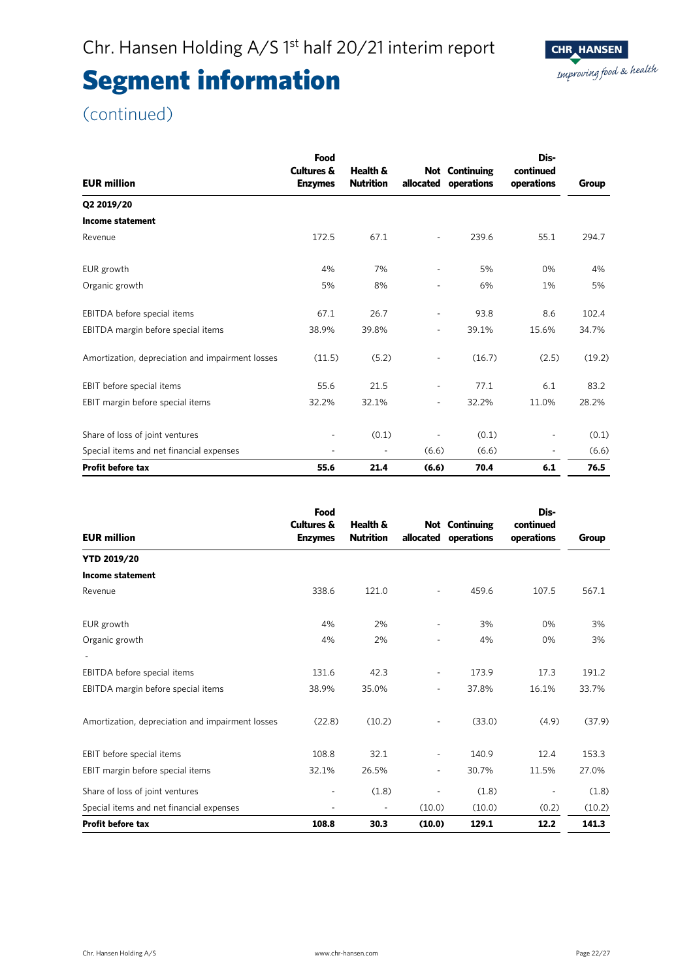

| <b>EUR million</b>                               | Food<br><b>Cultures &amp;</b><br><b>Enzymes</b> | Health &<br><b>Nutrition</b> | allocated                | <b>Not Continuing</b><br>operations | Dis-<br>continued<br>operations | Group  |
|--------------------------------------------------|-------------------------------------------------|------------------------------|--------------------------|-------------------------------------|---------------------------------|--------|
| Q2 2019/20                                       |                                                 |                              |                          |                                     |                                 |        |
| <b>Income statement</b>                          |                                                 |                              |                          |                                     |                                 |        |
| Revenue                                          | 172.5                                           | 67.1                         | ÷,                       | 239.6                               | 55.1                            | 294.7  |
| EUR growth                                       | 4%                                              | 7%                           | $\overline{\phantom{a}}$ | 5%                                  | 0%                              | 4%     |
| Organic growth                                   | 5%                                              | 8%                           | ٠                        | 6%                                  | 1%                              | 5%     |
| EBITDA before special items                      | 67.1                                            | 26.7                         | $\overline{\phantom{a}}$ | 93.8                                | 8.6                             | 102.4  |
| EBITDA margin before special items               | 38.9%                                           | 39.8%                        | $\overline{a}$           | 39.1%                               | 15.6%                           | 34.7%  |
| Amortization, depreciation and impairment losses | (11.5)                                          | (5.2)                        | ÷,                       | (16.7)                              | (2.5)                           | (19.2) |
| EBIT before special items                        | 55.6                                            | 21.5                         | $\overline{\phantom{a}}$ | 77.1                                | 6.1                             | 83.2   |
| EBIT margin before special items                 | 32.2%                                           | 32.1%                        | $\overline{\phantom{a}}$ | 32.2%                               | 11.0%                           | 28.2%  |
| Share of loss of joint ventures                  |                                                 | (0.1)                        |                          | (0.1)                               | ٠                               | (0.1)  |
| Special items and net financial expenses         |                                                 | $\overline{\phantom{0}}$     | (6.6)                    | (6.6)                               | ٠                               | (6.6)  |
| <b>Profit before tax</b>                         | 55.6                                            | 21.4                         | (6.6)                    | 70.4                                | 6.1                             | 76.5   |

| <b>EUR million</b>                               | Food<br><b>Cultures &amp;</b><br><b>Enzymes</b> | Health &<br><b>Nutrition</b> | allocated                | <b>Not</b> Continuing<br>operations | Dis-<br>continued<br>operations | Group  |
|--------------------------------------------------|-------------------------------------------------|------------------------------|--------------------------|-------------------------------------|---------------------------------|--------|
| <b>YTD 2019/20</b>                               |                                                 |                              |                          |                                     |                                 |        |
| <b>Income statement</b>                          |                                                 |                              |                          |                                     |                                 |        |
| Revenue                                          | 338.6                                           | 121.0                        |                          | 459.6                               | 107.5                           | 567.1  |
| EUR growth                                       | 4%                                              | 2%                           | $\overline{\phantom{a}}$ | 3%                                  | 0%                              | 3%     |
| Organic growth                                   | 4%                                              | 2%                           |                          | 4%                                  | 0%                              | 3%     |
|                                                  |                                                 |                              |                          |                                     |                                 |        |
| EBITDA before special items                      | 131.6                                           | 42.3                         | $\overline{\phantom{a}}$ | 173.9                               | 17.3                            | 191.2  |
| EBITDA margin before special items               | 38.9%                                           | 35.0%                        | $\overline{\phantom{a}}$ | 37.8%                               | 16.1%                           | 33.7%  |
| Amortization, depreciation and impairment losses | (22.8)                                          | (10.2)                       |                          | (33.0)                              | (4.9)                           | (37.9) |
| EBIT before special items                        | 108.8                                           | 32.1                         | $\overline{\phantom{a}}$ | 140.9                               | 12.4                            | 153.3  |
| EBIT margin before special items                 | 32.1%                                           | 26.5%                        | $\overline{\phantom{a}}$ | 30.7%                               | 11.5%                           | 27.0%  |
| Share of loss of joint ventures                  |                                                 | (1.8)                        |                          | (1.8)                               | ٠                               | (1.8)  |
| Special items and net financial expenses         | $\overline{\phantom{0}}$                        | $\overline{\phantom{a}}$     | (10.0)                   | (10.0)                              | (0.2)                           | (10.2) |
| <b>Profit before tax</b>                         | 108.8                                           | 30.3                         | (10.0)                   | 129.1                               | 12.2                            | 141.3  |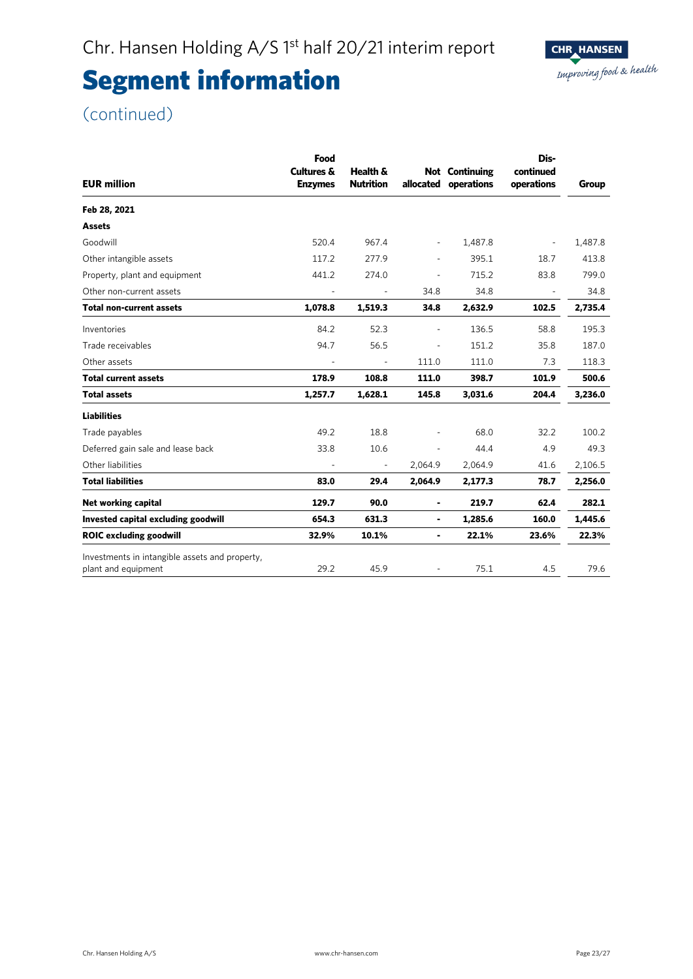

| <b>EUR million</b>                                                    | Food<br><b>Cultures &amp;</b><br><b>Enzymes</b> | Health &<br><b>Nutrition</b> |                          | <b>Not Continuing</b><br>allocated operations | Dis-<br>continued<br>operations | Group   |
|-----------------------------------------------------------------------|-------------------------------------------------|------------------------------|--------------------------|-----------------------------------------------|---------------------------------|---------|
| Feb 28, 2021                                                          |                                                 |                              |                          |                                               |                                 |         |
| <b>Assets</b>                                                         |                                                 |                              |                          |                                               |                                 |         |
| Goodwill                                                              | 520.4                                           | 967.4                        | $\overline{\phantom{a}}$ | 1,487.8                                       | $\overline{\phantom{a}}$        | 1,487.8 |
| Other intangible assets                                               | 117.2                                           | 277.9                        | $\overline{\phantom{a}}$ | 395.1                                         | 18.7                            | 413.8   |
| Property, plant and equipment                                         | 441.2                                           | 274.0                        |                          | 715.2                                         | 83.8                            | 799.0   |
| Other non-current assets                                              |                                                 | $\overline{\phantom{a}}$     | 34.8                     | 34.8                                          | $\overline{\phantom{a}}$        | 34.8    |
| <b>Total non-current assets</b>                                       | 1,078.8                                         | 1,519.3                      | 34.8                     | 2,632.9                                       | 102.5                           | 2,735.4 |
| Inventories                                                           | 84.2                                            | 52.3                         | $\blacksquare$           | 136.5                                         | 58.8                            | 195.3   |
| Trade receivables                                                     | 94.7                                            | 56.5                         | $\overline{\phantom{a}}$ | 151.2                                         | 35.8                            | 187.0   |
| Other assets                                                          | ÷,                                              | $\blacksquare$               | 111.0                    | 111.0                                         | 7.3                             | 118.3   |
| <b>Total current assets</b>                                           | 178.9                                           | 108.8                        | 111.0                    | 398.7                                         | 101.9                           | 500.6   |
| <b>Total assets</b>                                                   | 1,257.7                                         | 1,628.1                      | 145.8                    | 3,031.6                                       | 204.4                           | 3,236.0 |
| <b>Liabilities</b>                                                    |                                                 |                              |                          |                                               |                                 |         |
| Trade payables                                                        | 49.2                                            | 18.8                         |                          | 68.0                                          | 32.2                            | 100.2   |
| Deferred gain sale and lease back                                     | 33.8                                            | 10.6                         |                          | 44.4                                          | 4.9                             | 49.3    |
| Other liabilities                                                     |                                                 | $\overline{\phantom{a}}$     | 2,064.9                  | 2,064.9                                       | 41.6                            | 2,106.5 |
| <b>Total liabilities</b>                                              | 83.0                                            | 29.4                         | 2,064.9                  | 2,177.3                                       | 78.7                            | 2,256.0 |
| Net working capital                                                   | 129.7                                           | 90.0                         | $\blacksquare$           | 219.7                                         | 62.4                            | 282.1   |
| Invested capital excluding goodwill                                   | 654.3                                           | 631.3                        | ۰                        | 1,285.6                                       | 160.0                           | 1,445.6 |
| <b>ROIC excluding goodwill</b>                                        | 32.9%                                           | 10.1%                        | ٠                        | 22.1%                                         | 23.6%                           | 22.3%   |
| Investments in intangible assets and property,<br>plant and equipment | 29.2                                            | 45.9                         |                          | 75.1                                          | 4.5                             | 79.6    |
|                                                                       |                                                 |                              |                          |                                               |                                 |         |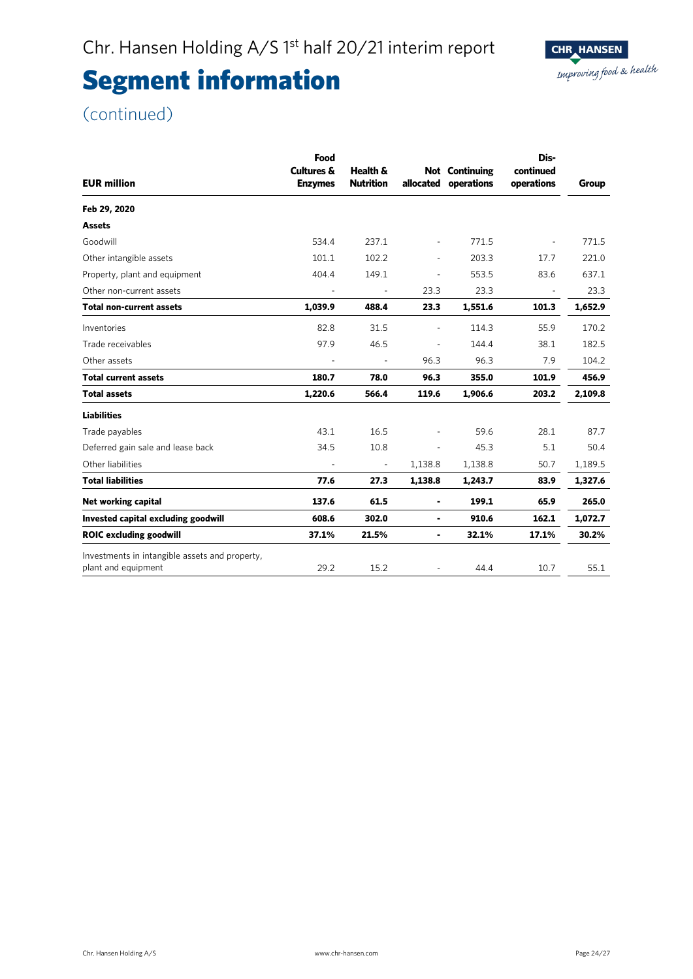

| Food<br>Cultures &<br><b>Enzymes</b> | Health &<br><b>Nutrition</b> |                          | operations | Dis-<br>continued<br>operations    | Group   |
|--------------------------------------|------------------------------|--------------------------|------------|------------------------------------|---------|
|                                      |                              |                          |            |                                    |         |
|                                      |                              |                          |            |                                    |         |
| 534.4                                | 237.1                        | $\overline{\phantom{a}}$ | 771.5      | ä,                                 | 771.5   |
| 101.1                                | 102.2                        | $\overline{\phantom{a}}$ | 203.3      | 17.7                               | 221.0   |
| 404.4                                | 149.1                        | ÷,                       | 553.5      | 83.6                               | 637.1   |
|                                      | $\overline{\phantom{a}}$     | 23.3                     | 23.3       | $\overline{\phantom{a}}$           | 23.3    |
| 1,039.9                              | 488.4                        | 23.3                     | 1,551.6    | 101.3                              | 1,652.9 |
| 82.8                                 | 31.5                         | $\blacksquare$           | 114.3      | 55.9                               | 170.2   |
| 97.9                                 | 46.5                         | $\blacksquare$           | 144.4      | 38.1                               | 182.5   |
| $\overline{a}$                       | $\overline{\phantom{a}}$     | 96.3                     | 96.3       | 7.9                                | 104.2   |
| 180.7                                | 78.0                         | 96.3                     | 355.0      | 101.9                              | 456.9   |
| 1,220.6                              | 566.4                        | 119.6                    | 1,906.6    | 203.2                              | 2,109.8 |
|                                      |                              |                          |            |                                    |         |
| 43.1                                 | 16.5                         |                          | 59.6       | 28.1                               | 87.7    |
| 34.5                                 | 10.8                         |                          | 45.3       | 5.1                                | 50.4    |
|                                      | ÷,                           | 1,138.8                  | 1,138.8    | 50.7                               | 1,189.5 |
| 77.6                                 | 27.3                         | 1,138.8                  | 1,243.7    | 83.9                               | 1,327.6 |
| 137.6                                | 61.5                         | ۰                        | 199.1      | 65.9                               | 265.0   |
| 608.6                                | 302.0                        | ٠                        | 910.6      | 162.1                              | 1,072.7 |
| 37.1%                                | 21.5%                        | $\blacksquare$           | 32.1%      | 17.1%                              | 30.2%   |
| 29.2                                 | 15.2                         |                          | 44.4       | 10.7                               | 55.1    |
|                                      |                              |                          |            | <b>Not</b> Continuing<br>allocated |         |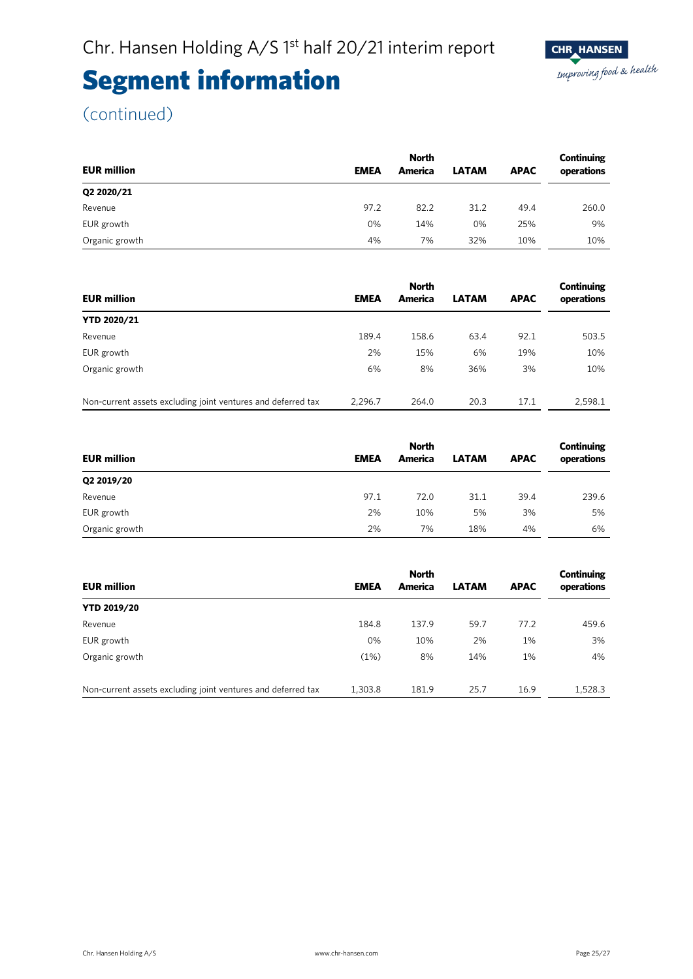

| <b>EUR million</b> | <b>EMEA</b> | <b>North</b><br>America | <b>LATAM</b> | <b>APAC</b> | Continuing<br>operations |
|--------------------|-------------|-------------------------|--------------|-------------|--------------------------|
|                    |             |                         |              |             |                          |
| Q2 2020/21         |             |                         |              |             |                          |
| Revenue            | 97.2        | 82.2                    | 31.2         | 49.4        | 260.0                    |
| EUR growth         | 0%          | 14%                     | 0%           | 25%         | 9%                       |
| Organic growth     | 4%          | 7%                      | 32%          | 10%         | 10%                      |

|                                                              |             |         | Continuing   |             |            |
|--------------------------------------------------------------|-------------|---------|--------------|-------------|------------|
| <b>EUR million</b>                                           | <b>EMEA</b> | America | <b>LATAM</b> | <b>APAC</b> | operations |
| <b>YTD 2020/21</b>                                           |             |         |              |             |            |
| Revenue                                                      | 189.4       | 158.6   | 63.4         | 92.1        | 503.5      |
| EUR growth                                                   | 2%          | 15%     | 6%           | 19%         | 10%        |
| Organic growth                                               | 6%          | 8%      | 36%          | 3%          | 10%        |
|                                                              |             |         |              |             |            |
| Non-current assets excluding joint ventures and deferred tax | 2.296.7     | 264.0   | 20.3         | 17.1        | 2.598.1    |

|                    | <b>North</b> |         |              |             | Continuing |
|--------------------|--------------|---------|--------------|-------------|------------|
| <b>EUR million</b> | <b>EMEA</b>  | America | <b>LATAM</b> | <b>APAC</b> | operations |
| Q2 2019/20         |              |         |              |             |            |
| Revenue            | 97.1         | 72.0    | 31.1         | 39.4        | 239.6      |
| EUR growth         | 2%           | 10%     | 5%           | 3%          | 5%         |
| Organic growth     | 2%           | 7%      | 18%          | 4%          | 6%         |

|                                                              | <b>North</b> |         |              |             | Continuing |
|--------------------------------------------------------------|--------------|---------|--------------|-------------|------------|
| <b>EUR million</b>                                           | <b>EMEA</b>  | America | <b>LATAM</b> | <b>APAC</b> | operations |
| <b>YTD 2019/20</b>                                           |              |         |              |             |            |
| Revenue                                                      | 184.8        | 137.9   | 59.7         | 77.2        | 459.6      |
| EUR growth                                                   | $0\%$        | 10%     | 2%           | 1%          | 3%         |
| Organic growth                                               | (1%)         | 8%      | 14%          | 1%          | 4%         |
| Non-current assets excluding joint ventures and deferred tax | 1,303.8      | 181.9   | 25.7         | 16.9        | 1,528.3    |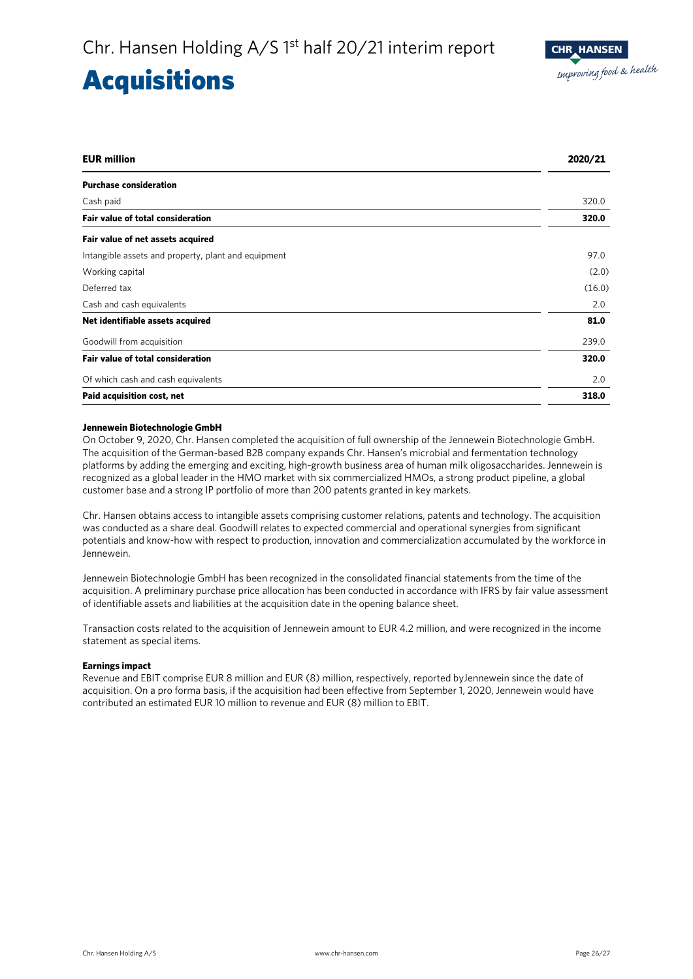### **Acquisitions**

| <b>EUR million</b>                                  | 2020/21 |
|-----------------------------------------------------|---------|
| <b>Purchase consideration</b>                       |         |
| Cash paid                                           | 320.0   |
| <b>Fair value of total consideration</b>            | 320.0   |
| Fair value of net assets acquired                   |         |
| Intangible assets and property, plant and equipment | 97.0    |
| Working capital                                     | (2.0)   |
| Deferred tax                                        | (16.0)  |
| Cash and cash equivalents                           | 2.0     |
| Net identifiable assets acquired                    | 81.0    |
| Goodwill from acquisition                           | 239.0   |
| <b>Fair value of total consideration</b>            | 320.0   |
| Of which cash and cash equivalents                  | 2.0     |
| Paid acquisition cost, net                          | 318.0   |

### **Jennewein Biotechnologie GmbH**

On October 9, 2020, Chr. Hansen completed the acquisition of full ownership of the Jennewein Biotechnologie GmbH. The acquisition of the German-based B2B company expands Chr. Hansen's microbial and fermentation technology platforms by adding the emerging and exciting, high-growth business area of human milk oligosaccharides. Jennewein is recognized as a global leader in the HMO market with six commercialized HMOs, a strong product pipeline, a global customer base and a strong IP portfolio of more than 200 patents granted in key markets.

Chr. Hansen obtains access to intangible assets comprising customer relations, patents and technology. The acquisition was conducted as a share deal. Goodwill relates to expected commercial and operational synergies from significant potentials and know-how with respect to production, innovation and commercialization accumulated by the workforce in Jennewein.

Jennewein Biotechnologie GmbH has been recognized in the consolidated financial statements from the time of the acquisition. A preliminary purchase price allocation has been conducted in accordance with IFRS by fair value assessment of identifiable assets and liabilities at the acquisition date in the opening balance sheet.

Transaction costs related to the acquisition of Jennewein amount to EUR 4.2 million, and were recognized in the income statement as special items.

### **Earnings impact**

Revenue and EBIT comprise EUR 8 million and EUR (8) million, respectively, reported byJennewein since the date of acquisition. On a pro forma basis, if the acquisition had been effective from September 1, 2020, Jennewein would have contributed an estimated EUR 10 million to revenue and EUR (8) million to EBIT.